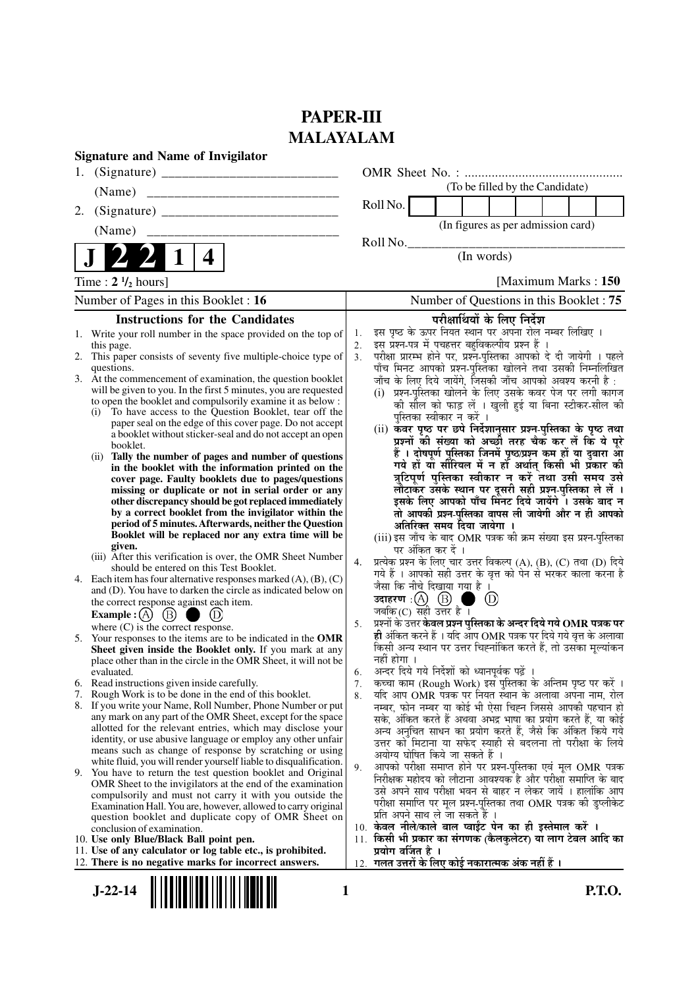# **PAPER-III MALAYALAM**

| <b>Signature and Name of Invigilator</b>                                                                                                                                                                                                                                                                                                                                                                                                                                                                                                                                                                                                                                                                                                                                                                                                                                                                                                                                                                                                                                                                                                                                                                                                                                                                                                                                                                                                                                                                                                                                                                                                                                                                                                                                                                                                                                              |                                                                                                                                                                                                                                                                                                                                                                                                                                                                                                                                                                                                                                                                                                                                                                                                                                                                                                                                                                                                                                                                                                                                                                                                                                                                                                                                                                                                                                                                                                                                                                                                                                                                                                                                                                                                                                                                                                                    |
|---------------------------------------------------------------------------------------------------------------------------------------------------------------------------------------------------------------------------------------------------------------------------------------------------------------------------------------------------------------------------------------------------------------------------------------------------------------------------------------------------------------------------------------------------------------------------------------------------------------------------------------------------------------------------------------------------------------------------------------------------------------------------------------------------------------------------------------------------------------------------------------------------------------------------------------------------------------------------------------------------------------------------------------------------------------------------------------------------------------------------------------------------------------------------------------------------------------------------------------------------------------------------------------------------------------------------------------------------------------------------------------------------------------------------------------------------------------------------------------------------------------------------------------------------------------------------------------------------------------------------------------------------------------------------------------------------------------------------------------------------------------------------------------------------------------------------------------------------------------------------------------|--------------------------------------------------------------------------------------------------------------------------------------------------------------------------------------------------------------------------------------------------------------------------------------------------------------------------------------------------------------------------------------------------------------------------------------------------------------------------------------------------------------------------------------------------------------------------------------------------------------------------------------------------------------------------------------------------------------------------------------------------------------------------------------------------------------------------------------------------------------------------------------------------------------------------------------------------------------------------------------------------------------------------------------------------------------------------------------------------------------------------------------------------------------------------------------------------------------------------------------------------------------------------------------------------------------------------------------------------------------------------------------------------------------------------------------------------------------------------------------------------------------------------------------------------------------------------------------------------------------------------------------------------------------------------------------------------------------------------------------------------------------------------------------------------------------------------------------------------------------------------------------------------------------------|
| 1.                                                                                                                                                                                                                                                                                                                                                                                                                                                                                                                                                                                                                                                                                                                                                                                                                                                                                                                                                                                                                                                                                                                                                                                                                                                                                                                                                                                                                                                                                                                                                                                                                                                                                                                                                                                                                                                                                    |                                                                                                                                                                                                                                                                                                                                                                                                                                                                                                                                                                                                                                                                                                                                                                                                                                                                                                                                                                                                                                                                                                                                                                                                                                                                                                                                                                                                                                                                                                                                                                                                                                                                                                                                                                                                                                                                                                                    |
| (Name)                                                                                                                                                                                                                                                                                                                                                                                                                                                                                                                                                                                                                                                                                                                                                                                                                                                                                                                                                                                                                                                                                                                                                                                                                                                                                                                                                                                                                                                                                                                                                                                                                                                                                                                                                                                                                                                                                | (To be filled by the Candidate)                                                                                                                                                                                                                                                                                                                                                                                                                                                                                                                                                                                                                                                                                                                                                                                                                                                                                                                                                                                                                                                                                                                                                                                                                                                                                                                                                                                                                                                                                                                                                                                                                                                                                                                                                                                                                                                                                    |
| 2.                                                                                                                                                                                                                                                                                                                                                                                                                                                                                                                                                                                                                                                                                                                                                                                                                                                                                                                                                                                                                                                                                                                                                                                                                                                                                                                                                                                                                                                                                                                                                                                                                                                                                                                                                                                                                                                                                    | Roll No.                                                                                                                                                                                                                                                                                                                                                                                                                                                                                                                                                                                                                                                                                                                                                                                                                                                                                                                                                                                                                                                                                                                                                                                                                                                                                                                                                                                                                                                                                                                                                                                                                                                                                                                                                                                                                                                                                                           |
| (Name)                                                                                                                                                                                                                                                                                                                                                                                                                                                                                                                                                                                                                                                                                                                                                                                                                                                                                                                                                                                                                                                                                                                                                                                                                                                                                                                                                                                                                                                                                                                                                                                                                                                                                                                                                                                                                                                                                | (In figures as per admission card)                                                                                                                                                                                                                                                                                                                                                                                                                                                                                                                                                                                                                                                                                                                                                                                                                                                                                                                                                                                                                                                                                                                                                                                                                                                                                                                                                                                                                                                                                                                                                                                                                                                                                                                                                                                                                                                                                 |
| 4                                                                                                                                                                                                                                                                                                                                                                                                                                                                                                                                                                                                                                                                                                                                                                                                                                                                                                                                                                                                                                                                                                                                                                                                                                                                                                                                                                                                                                                                                                                                                                                                                                                                                                                                                                                                                                                                                     | Roll No.<br>(In words)                                                                                                                                                                                                                                                                                                                                                                                                                                                                                                                                                                                                                                                                                                                                                                                                                                                                                                                                                                                                                                                                                                                                                                                                                                                                                                                                                                                                                                                                                                                                                                                                                                                                                                                                                                                                                                                                                             |
| Time : $2 \frac{1}{2}$ hours]                                                                                                                                                                                                                                                                                                                                                                                                                                                                                                                                                                                                                                                                                                                                                                                                                                                                                                                                                                                                                                                                                                                                                                                                                                                                                                                                                                                                                                                                                                                                                                                                                                                                                                                                                                                                                                                         | [Maximum Marks: 150]                                                                                                                                                                                                                                                                                                                                                                                                                                                                                                                                                                                                                                                                                                                                                                                                                                                                                                                                                                                                                                                                                                                                                                                                                                                                                                                                                                                                                                                                                                                                                                                                                                                                                                                                                                                                                                                                                               |
| Number of Pages in this Booklet : 16                                                                                                                                                                                                                                                                                                                                                                                                                                                                                                                                                                                                                                                                                                                                                                                                                                                                                                                                                                                                                                                                                                                                                                                                                                                                                                                                                                                                                                                                                                                                                                                                                                                                                                                                                                                                                                                  | Number of Questions in this Booklet: 75                                                                                                                                                                                                                                                                                                                                                                                                                                                                                                                                                                                                                                                                                                                                                                                                                                                                                                                                                                                                                                                                                                                                                                                                                                                                                                                                                                                                                                                                                                                                                                                                                                                                                                                                                                                                                                                                            |
| <b>Instructions for the Candidates</b>                                                                                                                                                                                                                                                                                                                                                                                                                                                                                                                                                                                                                                                                                                                                                                                                                                                                                                                                                                                                                                                                                                                                                                                                                                                                                                                                                                                                                                                                                                                                                                                                                                                                                                                                                                                                                                                | परीक्षार्थियों के लिए निर्देश                                                                                                                                                                                                                                                                                                                                                                                                                                                                                                                                                                                                                                                                                                                                                                                                                                                                                                                                                                                                                                                                                                                                                                                                                                                                                                                                                                                                                                                                                                                                                                                                                                                                                                                                                                                                                                                                                      |
| 1. Write your roll number in the space provided on the top of<br>this page.<br>This paper consists of seventy five multiple-choice type of<br>2.<br>questions.<br>3. At the commencement of examination, the question booklet<br>will be given to you. In the first 5 minutes, you are requested<br>to open the booklet and compulsorily examine it as below :<br>To have access to the Question Booklet, tear off the<br>(i)<br>paper seal on the edge of this cover page. Do not accept<br>a booklet without sticker-seal and do not accept an open<br>booklet.<br>Tally the number of pages and number of questions<br>(i)<br>in the booklet with the information printed on the<br>cover page. Faulty booklets due to pages/questions<br>missing or duplicate or not in serial order or any<br>other discrepancy should be got replaced immediately<br>by a correct booklet from the invigilator within the<br>period of 5 minutes. Afterwards, neither the Question<br>Booklet will be replaced nor any extra time will be<br>given.<br>(iii) After this verification is over, the OMR Sheet Number<br>should be entered on this Test Booklet.<br>4. Each item has four alternative responses marked $(A)$ , $(B)$ , $(C)$<br>and (D). You have to darken the circle as indicated below on<br>the correct response against each item.<br>$\circled{B}$<br>Example $: (A)$<br>where $(C)$ is the correct response.<br>5. Your responses to the items are to be indicated in the OMR<br>Sheet given inside the Booklet only. If you mark at any<br>place other than in the circle in the OMR Sheet, it will not be<br>evaluated.<br>Read instructions given inside carefully.<br>6.<br>Rough Work is to be done in the end of this booklet.<br>7.<br>If you write your Name, Roll Number, Phone Number or put<br>8.<br>any mark on any part of the OMR Sheet, except for the space | इस पृष्ठ के ऊपर नियत स्थान पर अपना रोल नम्बर लिखिए ।<br>1.<br>इस प्रश्न-पत्र में पचहत्तर बहुविकल्पीय प्रश्न हैं ।<br>2.<br>परीक्षा प्रारम्भ होने पर, प्रश्नॅ-पुस्तिका आपको दे दी जायेगी । पहले<br>पाँच मिनट आपको प्रश्न-पुस्तिका खोलने तथा उसकी निम्नलिखित<br>3.<br>जाँच के लिए दिये जायेंगे, जिसकी जाँच आपको अवश्य करनी है :<br>(i) प्रश्न-पुस्तिका खोलने के लिए उसके कवर पेज पर लगी कागज<br>की सील को फाड़ लें । खुली हुई या बिना स्टीकर-सील की<br>पस्तिका स्वीकार न करें ।<br>(ii) कवर पृष्ठ पर छपे निर्देशानुसार प्रश्न-पुस्तिका के पृष्ठ तथा<br>प्रश्नों की संख्या को अच्छी तरह चैक कर लें कि ये पूरे<br>हैं । दोषपूर्ण पुस्तिका जिनमें पृष्ठ/प्रश्न कम हों या दुबारा आ<br>गये हों या सीरियल में न हो अर्थात् किसी भी प्रकार की<br>त्रुटिपूर्ण पुस्तिका स्वीकार न करें तथा उसी समय उसे<br>लौटाकर उसके स्थान पर दूसरी सही प्रश्न पुस्तिका ले लें ।<br>इसके लिए आपको पाँच मिनट दिये जायेंगे । उसके बाद न<br>तो आपकी प्रश्न-पुस्तिका वापस ली जायेगी और न ही आपको<br>अतिरिक्त समय दिया जायेगा ।<br>(iii) इस जाँच के बाद OMR पत्रक की क्रम संख्या इस प्रश्न-पुस्तिका<br>पर अंकित कर दें ।<br>प्रत्येक प्रश्न के लिए चार उत्तर विकल्प (A), (B), (C) तथा (D) दिये<br>4.<br>गये हैं । आपको सही उत्तर के वृत्त को पेन से भरकर काला करना है<br>जैसा कि नीचे दिखाया गया है ।<br>उदाहरण $\,$ : $(A)$ $\,$ $(B)$ $\,$<br>(D)<br>जबकि $(C)$ सही उत्तर है ।<br>प्रश्नों के उत्तर केवल प्रश्न पुस्तिका के अन्दर दिये गये OMR पत्रक पर<br>5.<br>ही अंकित करने हैं । यदि आप OMR पत्रक पर दिये गये वृत्त के अलावा<br>किसी अन्य स्थान पर उत्तर चिह्नांकित करते हैं, तो उसका मूल्यांकन<br>नहीं होगा ।<br>अन्दर दिये गये निर्देशों को ध्यानपूर्वकू पढ़ें ।<br>6.<br>कच्चा काम (Rough Work) इस पुस्तिका के अन्तिम पृष्ठ पर करें ।<br>7.<br>यदि आप OMR पत्रक पर नियत स्थान के अलावा अपना नाम, रोल<br>8.<br>नम्बर, फोन नम्बर या कोई भी ऐसा चिह्न जिससे आपकी पहचान हो<br>सके, अंकित करते हैं अथवा अभद्र भाषा का प्रयोग करते हैं, या कोई |
| allotted for the relevant entries, which may disclose your<br>identity, or use abusive language or employ any other unfair<br>means such as change of response by scratching or using<br>white fluid, you will render yourself liable to disqualification.<br>9. You have to return the test question booklet and Original<br>OMR Sheet to the invigilators at the end of the examination<br>compulsorily and must not carry it with you outside the<br>Examination Hall. You are, however, allowed to carry original                                                                                                                                                                                                                                                                                                                                                                                                                                                                                                                                                                                                                                                                                                                                                                                                                                                                                                                                                                                                                                                                                                                                                                                                                                                                                                                                                                 | अन्य अनुचित साधन का प्रयोग करते हैं, जैसे कि अंकित किये गये<br>उत्तर को मिटाना या सफेद स्याही से बदलना तो परीक्षा के लिये<br>अयोग्य घोषित किये जा सकते हैं ।<br>आपको परीक्षा समाप्त होने पर प्रश्न-पुस्तिका एवं मूल OMR पत्रक<br>9.<br>निरीक्षक महोदय को लौटाना आवश्यक है और परीक्षा समाप्ति के बाद<br>उसे अपने साथ परीक्षा भवन से बाहर न लेकर जायें । हालांकि आप<br>परीक्षा समाप्ति पर मूल प्रश्न-पुस्तिका तथा OMR पत्रक की डुप्लीकेट<br>प्रति अपने साथ ले जा सकते हैं ।                                                                                                                                                                                                                                                                                                                                                                                                                                                                                                                                                                                                                                                                                                                                                                                                                                                                                                                                                                                                                                                                                                                                                                                                                                                                                                                                                                                                                                          |
| question booklet and duplicate copy of OMR Sheet on<br>conclusion of examination.<br>10. Use only Blue/Black Ball point pen.<br>11. Use of any calculator or log table etc., is prohibited.<br>12. There is no negative marks for incorrect answers.                                                                                                                                                                                                                                                                                                                                                                                                                                                                                                                                                                                                                                                                                                                                                                                                                                                                                                                                                                                                                                                                                                                                                                                                                                                                                                                                                                                                                                                                                                                                                                                                                                  | 10. केवल नीले/काले बाल प्वाईंट पेन का ही इस्तेमाल करें ।<br>11. किसी भी प्रकार का संगणक (कैलकुलेटर) या लाग टेबल आदि का<br>प्रयोग वर्जित है ।<br>12. गलत उत्तरों के लिए कोई नकारात्मक अंक नहीं हैं ।                                                                                                                                                                                                                                                                                                                                                                                                                                                                                                                                                                                                                                                                                                                                                                                                                                                                                                                                                                                                                                                                                                                                                                                                                                                                                                                                                                                                                                                                                                                                                                                                                                                                                                                |
| $J-22-14$                                                                                                                                                                                                                                                                                                                                                                                                                                                                                                                                                                                                                                                                                                                                                                                                                                                                                                                                                                                                                                                                                                                                                                                                                                                                                                                                                                                                                                                                                                                                                                                                                                                                                                                                                                                                                                                                             | P.T.O.<br>1                                                                                                                                                                                                                                                                                                                                                                                                                                                                                                                                                                                                                                                                                                                                                                                                                                                                                                                                                                                                                                                                                                                                                                                                                                                                                                                                                                                                                                                                                                                                                                                                                                                                                                                                                                                                                                                                                                        |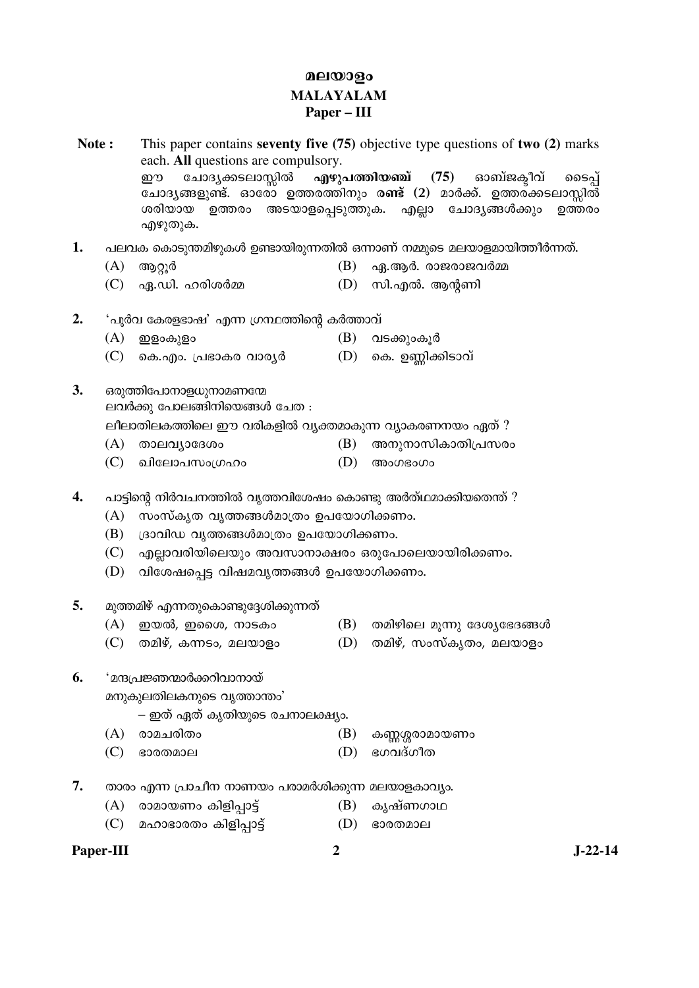## മലയാളം **MALAYALAM** Paper – III

Note: This paper contains seventy five  $(75)$  objective type questions of two  $(2)$  marks each. All questions are compulsory. എഴുപത്തിയഞ്ച് (75) ചോദ്യക്കടലാസ്ലിൽ ഓബ്ജകീവ് ഈ ടൈപ് ചോദ്യങ്ങളുണ്ട്. ഓരോ ഉത്തരത്തിനും ര**ണ്ട്** (2) മാർക്ക്. ഉത്തര്ക്കടലാസ്ലിൽ ശരിയായ ഉത്തരം അടയാളപ്പെടുത്തുക. എല്ലാ ചോദൃങ്ങൾക്കും ഉത്തരം എഴുതുക. 1. പലവക കൊടുന്തമിഴുകൾ ഉണ്ടായിരുന്നതിൽ ഒന്നാണ് നമ്മുടെ മലയാളമായിത്തീർന്നത്.  $(A)$ ആറ്റൂർ  $(B)$  ഹു.ആർ. രാജരാജവർമ്മ  $(C)$  ഏ.ഡി. ഹരിശർമ്മ  $(D)$  സി.എൽ. ആന്റണി  $2.$ 'പൂർവ കേരളഭാഷ' എന്ന ഗ്രന്ഥത്തിന്റെ കർത്താവ്  $(A)$  ഇളാകുളാ (B) വടക്കുംകൂർ (C) കെ.എം. പ്രഭാകര വാരൃർ  $(D)$  കെ. ഉണ്ണിക്കിടാവ്  $3.$ ഒരുത്തിപോനാളധുനാമണന്മേ ലവർക്കു പോലങ്ങിനിയെങ്ങൾ ചേത : ലീലാതിലകത്തിലെ ഈ വരികളിൽ വ്യക്തമാകുന്ന വ്യാകരണനയം ഏത് ? (B) അനുനാസികാതിപ്രസരം  $(A)$  താലവ്യാദേശം  $(C)$  ഖിലോപസംഗ്രഹം (D) അംഗഭംഗം  $\overline{4}$ . പാട്ടിന്റെ നിർവചനത്തിൽ വൃത്തവിശേഷം കൊണ്ടു അർത്ഥമാക്കിയതെന്ത് ?  $(A)$  സംസ്കൃത വൃത്തങ്ങൾമാത്രം ഉപയോഗിക്കണം.  $(B)$  (ദാവിഡ വൃത്തങ്ങൾമാത്രം ഉപയോഗിക്കണം. (C) എല്ലാവരിയിലെയും അവസാനാക്ഷരം ഒരുപോലെയായിരിക്കണം. (D) വിശേഷപ്പെട്ട വിഷമവൃത്തങ്ങൾ ഉപയോഗിക്കണം. 5. മുത്തമിഴ് എന്നതുകൊണ്ടുദ്ദേശിക്കുന്നത്  $(A)$ ഇയൽ, ഇശൈ, നാടകം  $(B)$  തമിഴിലെ മൂന്നു ദേശ്യഭേദങ്ങൾ (C) തമിഴ്, കന്നടം, മലയാളം (D) തമിഴ്, സംസ്കൃതം, മലയാളം 6. <u>'മന്ദപ്രജ്ഞന്മാർക്കറിവാനായ്</u>

മനുകുലതിലകനുടെ വൃത്താന്തം'

- ഇത് ഏത് കൃതിയുടെ രചനാലക്ഷ്യം.
- (A) രാമചരിതം (B) കണ്ണശ്ശരാമായണം
- $(C)$  ഭാരതമാല  $(D)$ ഭഗവദ്ഗീത
- 7. താരം എന്ന പ്രാചീന നാണയം പരാമർശിക്കുന്ന മലയാളകാവ്യം.
	- $(A)$  രാമായണം കിളിപ്പാട്ട് (B) കൃഷ്ണഗാഥ
	- (C) മഹാഭാരതം കിളിപ്പാട്ട് (D) ഭാരതമാല

## Paper-III

 $J-22-14$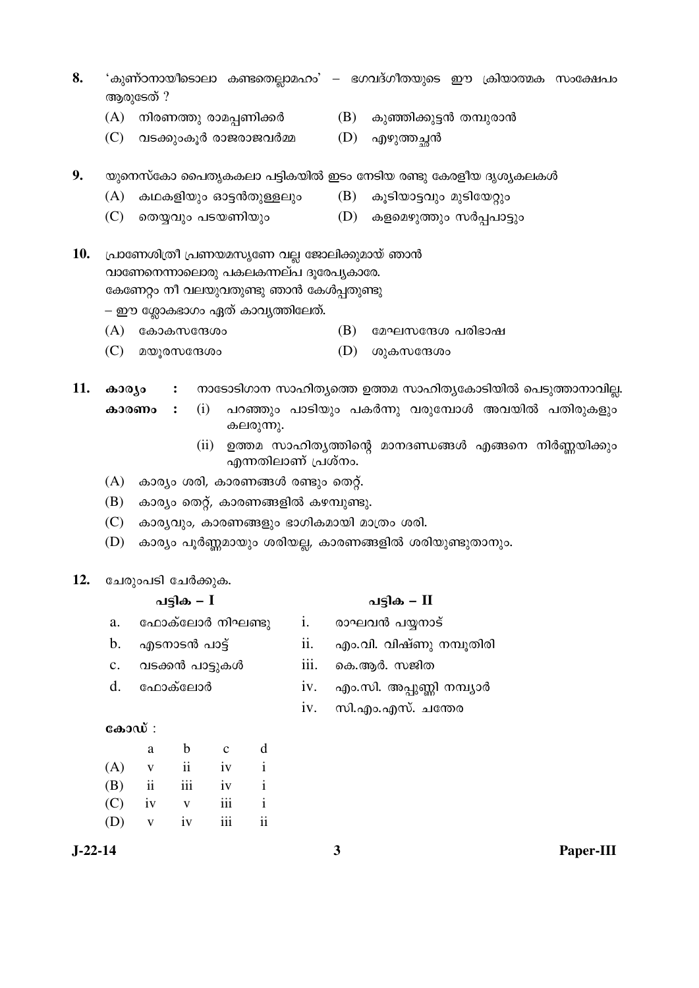- $8.$  'കുണ്ഠനായീടൊലാ കണ്ടതെല്ലാമഹം' ഭഗവദ്ഗീതയുടെ ഈ ക്രിയാത്മക സംക്ഷേപം ആരുടേത്  $?$ 
	- $(A)$  നിരണത്തു രാമപ്പണിക്കർ $(B)$  കുഞ്ഞിക്കുട്ടൻ തമ്പുരാൻ
	-
- 
- $(C)$  വടക്കുംകൂർ രാജരാജവർമ്മ  $(D)$  എഴുത്തച്ഛൻ
- $9.$  യുനെസ്കോ പൈതൃകകലാ പട്ടികയിൽ ഇടം നേടിയ രണ്ടു കേരളീയ ദൃശൃകലകൾ
	- (A) കഥകളിയും ഓട്ടൻതുള്ളലും  $(B)$  കൂടിയാട്ടവും മുടിയേറ്റും
	- (C) µ˜Ûª²¹ 㓤—°¤²¹ (D) ‰¨µ£©²Ì²¹ ŸÜÔã¯È²¹
- 10. പ്രാണേശിത്രീ പ്രണയമസൃണേ വല്ല ജോലിക്കുമായ് ഞാൻ വാണേനെന്നാലൊരു പകലകന്നല്പ ദുരേപൃകാരേ. കേണേറ്റം നീ വലയുവതുണ്ടു ഞാൻ കേൾപ്പതുണ്ടു

– ഈ ശ്ലോകഭാഗം ഏത് കാവൃത്തിലേത്.

- $(A)$  കോകസന്ദേശം  $(B)$  മേഘസന്ദേശ പരിഭാഷ
- $(C)$  മയൂരസന്ദേശം  $(D)$  ശുകസന്ദേശം
- 11. കാര്യം : നാടോടിഗാന സാഹിത്യത്തെ ഉത്തമ സാഹിത്യകോടിയിൽ പെടുത്താനാവില്ല.
	- **കാരണം :** (i) പറഞ്ഞും പാടിയും പകർന്നു വരുമ്പോൾ അവയിൽ പതിരുകളും കലരുന്നു.
		- $(ii)$  ഉത്തമ സാഹിത്യത്തിന്റെ മാനദണ്ഡങ്ങൾ എങ്ങനെ നിർണ്ണയിക്കും എന്നതിലാണ് പ്രശ്നം.
	- (A) കാര്യം ശരി, കാരണങ്ങൾ രണ്ടും തെറ്റ്.
	- $(B)$  കാര്യം തെറ്റ്, കാരണങ്ങളിൽ കഴമ്പുണ്ടു.
	- $(C)$  കാര്യവും, കാരണങ്ങളും ഭാഗികമായി മാത്രം ശരി.
	- (D) കാര്യം പൂർണ്ണമായും ശരിയല്ല, കാരണങ്ങളിൽ ശരിയുണ്ടുതാനും.

#### 12. ചേരുംപടി ചേർക്കുക.

|                | പട്ടിക – $I$    |      | പട്ടിക – $II$             |
|----------------|-----------------|------|---------------------------|
| a.             | ഫോക്ലോർ നിഘണ്ടു | 1.   | രാഘവൻ പയ്യനാട്            |
| $b_{\cdot}$    | എടനാടൻ പാട്ട്   | 11.  | എം.വി. വിഷ്ണു നമ്പൂതിരി   |
| $\mathbf{c}$ . | വടക്കൻ പാട്ടുകൾ | 111. | കെ.ആർ. സജിത               |
|                | d. ഫോക്ലോർ      | 1V.  | എം.സി. അപ്പുണ്ണി നമ്പ്യാർ |
|                |                 |      | iv. സി.എം.എസ്. ചന്തേര     |
|                | കോഡ് :          |      |                           |

|     | a                       | b   | $\mathbf c$ | d  |
|-----|-------------------------|-----|-------------|----|
| (A) | V                       | ii  | iv          | i  |
| (B) | $\overline{\mathbf{u}}$ | iii | iv          | i  |
| (C) | iv                      | V   | iii         |    |
| (D) | $\mathbf{V}$            | iv  | iii         | ii |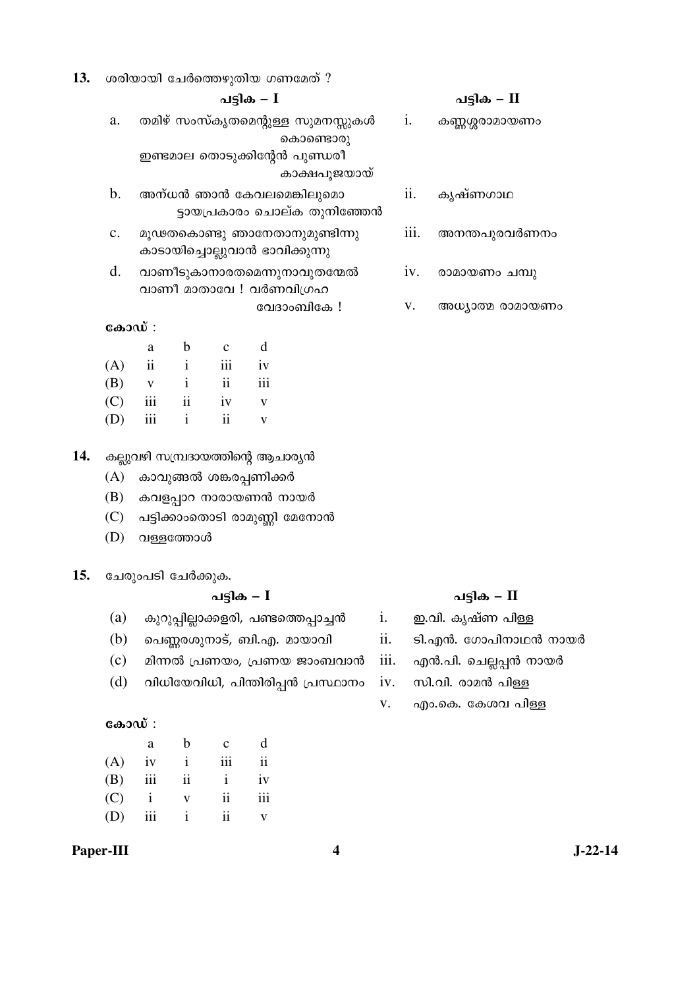| 13. |  | ` ശരിയായി ചേർത്തെഴുതിയ ഗണമേത് $?$ |  |  |
|-----|--|-----------------------------------|--|--|
|-----|--|-----------------------------------|--|--|

- a. തമിഴ് സംസ്കൃതമെന്റുള്ള സുമനസ്സുകൾ കൊണ്ടൊരു ഇണ്ടമാല തൊടുക്കിന്റേൻ പുണ്ഡരീ കാക്ഷപൂജയായ്
- b. അന്ധൻ ഞാൻ കേവലമെങ്കിലുമൊ ട്ടായപ്രകാരം ചൊല്ക തുനിഞ്ഞേൻ
- c. മൂഢതകൊണ്ടു ഞാനേതാനുമുണ്ടിന്നു കാടായിച്ചൊല്ലുവാൻ ഭാവിക്കുന്നു
- d. വാണീടുകാനാരതമെന്നുനാവുതന്മേൽ വാണീ മാതാവേ ! വർണവിഗ്രഹ
	- വേദാംബികേ $\,$ !

### $\cos 3\omega$ :

|     | a                       | b                        | $\mathbf{c}$  | d            |
|-----|-------------------------|--------------------------|---------------|--------------|
| (A) | $\overline{\mathbf{u}}$ | $\mathbf{i}$             | iii           | iv           |
| (B) | $\mathbf{V}$            | $\mathbf{i}$             | $\mathbf{ii}$ | 111          |
| (C) | iii                     | $\overline{\mathbf{ii}}$ | iv            | $\mathbf{V}$ |
| (D) | iii                     | i.                       | ij            |              |

#### 14. കല്ലുവഴി സമ്പ്രദായത്തിന്റെ ആചാരൃൻ

- (A) കാവുങ്ങൽ ശങ്കരപ്പണിക്കർ
- $(B)$  കവളപ്പാറ നാരായണൻ നായർ
- (C) പട്ടിക്കാംതൊടി രാമുണ്ണി മേനോൻ
- $(D)$  വള്ളത്തോൾ

#### 15. ചേരുംപടി ചേർക്കുക.

#### ãȰ‰ **– I** ãȰ‰ **– II**

- $(a)$  കുറുപ്പില്ലാക്കളരി, പണ്ടത്തെപ്പാച്ചൻ i. ഇ.വി. കൃഷ്ണ പിള്ള
- (b) പെണ്ണരശുനാട്, ബി.എ. മായാവി ii. ടി.എൻ. ഗോപിനാഥൻ നായർ
- (c) മിന്നൽ പ്രണയം, പ്രണയ ജാംബവാൻ iii. എൻ.പി. ചെല്ലപ്പൻ നായർ
- (d) വിധിയേവിധി, പിന്തിരിപ്പൻ പ്രസ്ഥാനം iv. സി.വി. രാമൻ പിള്ള

#### $\cos 3\omega$  :

|     | a          | b               | $\mathbf{c}$ | d                        |
|-----|------------|-----------------|--------------|--------------------------|
|     | $(A)$ iv i |                 | iii          | $\overline{\mathbf{ii}}$ |
| (B) | iii        | $\overline{11}$ | $\mathbf{i}$ | iv                       |
|     | $(C)$ i    | $\mathbf{V}$    | ii           | iii                      |
| (D) | iii        | $\mathbf{i}$    | ii           |                          |

#### **Paper-III 4 J-22-14**

## ãȰ‰ **– I** ãȰ‰ **– II**

- i. കണ്ണശ്ശരാമായണം ii. കൃഷ്ണഗാഥ iii. അനന്തപുരവർണനം
	- $iv.$  രാമായണം ചമ്പു
	- v. അധ്യാത്മ രാമായണം

- 
- 
- 
- 
- v. എം.കെ. കേശവ പിള്ള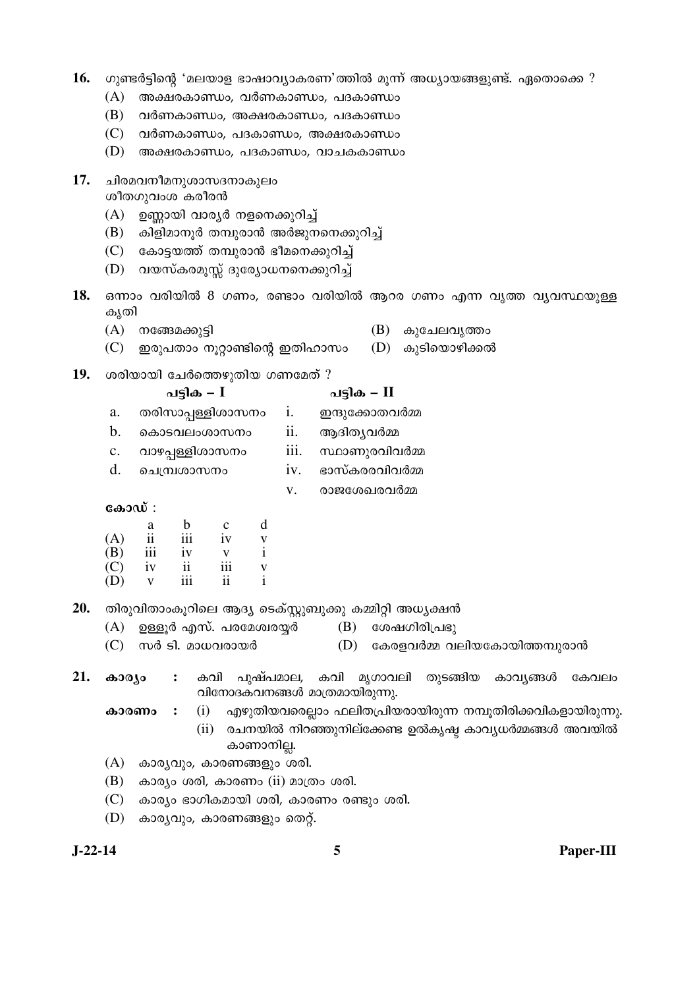| 16.       |                            |                                                |                                   |                |                                                          | ഗുണ്ടർട്ടിന്റെ 'മലയാള ഭാഷാവ്യാകരണ'ത്തിൽ മൂന്ന് അധ്യായങ്ങളുണ്ട്. ഏതൊക്കെ ? |
|-----------|----------------------------|------------------------------------------------|-----------------------------------|----------------|----------------------------------------------------------|---------------------------------------------------------------------------|
|           | (A)                        |                                                |                                   |                | അക്ഷരകാണ്ഡം, വർണകാണ്ഡം, പദകാണ്ഡം                         |                                                                           |
|           | (B)                        |                                                |                                   |                | വർണകാണ്ഡം, അക്ഷരകാണ്ഡം, പദകാണ്ഡം                         |                                                                           |
|           | (C)                        |                                                |                                   |                | വർണകാണ്ഡം, പദകാണ്ഡം, അക്ഷരകാണ്ഡം                         |                                                                           |
|           | (D)                        |                                                |                                   |                | അക്ഷരകാണ്ഡം, പദകാണ്ഡം, വാചകകാണ്ഡം                        |                                                                           |
| 17.       |                            | ചിരമവനീമനുശാസദനാകുലം<br>ശീതഗുവംശ കരീരൻ         |                                   |                |                                                          |                                                                           |
|           | (A)                        | ഉണ്ണായി വാര്യർ നളനെക്കുറിച്ച്                  |                                   |                |                                                          |                                                                           |
|           | (B)                        |                                                |                                   |                | കിളിമാനൂർ തമ്പുരാൻ അർജുനനെക്കുറിച്ച്                     |                                                                           |
|           | (C)                        | കോട്ടയത്ത് തമ്പുരാൻ ഭീമനെക്കുറിച്ച്            |                                   |                |                                                          |                                                                           |
|           | (D)                        | വയസ്കരമൂസ്സ് ദുര്യോധനനെക്കുറിച്ച്              |                                   |                |                                                          |                                                                           |
| 18.       | കൃതി                       |                                                |                                   |                |                                                          | ഒന്നാം വരിയിൽ 8 ഗണം, രണ്ടാം വരിയിൽ ആറര ഗണം എന്ന വൃത്ത വൃവസ്ഥയുള്ള         |
|           | (A)                        | നങ്ങേമക്കുട്ടി                                 |                                   |                | (B)                                                      | കുചേലവൃത്താ                                                               |
|           | (C)                        | ഇരുപതാം നൂറ്റാണ്ടിന്റെ ഇതിഹാസം                 |                                   |                |                                                          | (D) കുടിയൊഴിക്കൽ                                                          |
| 19.       |                            | ശരിയായി ചേർത്തെഴുതിയ ഗണമേത് ?                  |                                   |                |                                                          |                                                                           |
|           |                            | പട്ടിക – $I$                                   |                                   |                | പട്ടിക – $\Pi$                                           |                                                                           |
|           | a.                         | തരിസാപ്പള്ളിശാസനം                              |                                   | $\mathbf{i}$ . | ഇന്ദുക്കോതവർമ്മ                                          |                                                                           |
|           | b.                         | കൊടവലംശാസനം                                    |                                   | ii.            | ആദിതൃവർമ്മ                                               |                                                                           |
|           | $\mathbf{C}$ .             | വാഴപ്പള്ളിശാസനം                                |                                   | iii.           | സ്ഥാണുരവിവർമ്മ                                           |                                                                           |
|           | d.                         | ചെമ്പ്രശാസനം                                   |                                   | iv.            | ഭാസ്കരരവിവർമ്മ                                           |                                                                           |
|           |                            |                                                |                                   | V.             | രാജശേഖരവർമ്മ                                             |                                                                           |
|           | കോഡ് :                     |                                                |                                   |                |                                                          |                                                                           |
|           | (A)                        | $\mathbf b$<br>a<br>iii<br>$\ddot{\mathbf{i}}$ | d<br>$\mathbf{C}$<br>iv           |                |                                                          |                                                                           |
|           | (B)                        | iii<br>iv                                      | V<br>$\mathbf{i}$<br>$\mathbf{V}$ |                |                                                          |                                                                           |
|           | $\left( \mathbf{C}\right)$ | $\rm ii$<br>iv                                 | $\rm iii$<br>$\mathbf V$          |                |                                                          |                                                                           |
|           | (D)                        | iii<br>$\mathbf{V}$                            | $\mathbf{i}$<br>ii                |                |                                                          |                                                                           |
| 20.       |                            |                                                |                                   |                | തിരുവിതാംകൂറിലെ ആദ്യ ടെക്സ്റ്റുബുക്കു കമ്മിറ്റി അധ്യക്ഷൻ |                                                                           |
|           |                            | $(A)$ ഉള്ളൂർ എസ്. പരമേശ്വരയ്യർ                 |                                   |                | (B) ശേഷഗിരിപ്രഭു                                         |                                                                           |
|           |                            | $(C)$ സർ ടി. മാധവരായർ                          |                                   |                |                                                          | $(D)$ കേരളവർമ്മ വലിയകോയിത്തമ്പുരാൻ                                        |
| 21.       | കാര്യം                     |                                                |                                   |                | വിനോദകവനങ്ങൾ മാത്രമായിരുന്നു.                            | : കവി പുഷ്പമാല, കവി മൃഗാവലി തുടങ്ങിയ കാവൃങ്ങൾ<br>കേവലം                    |
|           |                            | കാരണം<br>$\ddot{\cdot}$                        |                                   |                |                                                          | $(i)$ എഴുതിയവരെല്ലാം ഫലിതപ്രിയരായിരുന്ന നമ്പൂതിരിക്കവികളായിരുന്നു.        |
|           |                            |                                                | കാണാനില്ല.                        |                |                                                          | (ii) രചനയിൽ നിറഞ്ഞുനില്ക്കേണ്ട ഉൽകൃഷ്ട കാവൃധർമ്മങ്ങൾ അവയിൽ                |
|           | (A)                        | കാര്യവും, കാരണങ്ങളും ശരി.                      |                                   |                |                                                          |                                                                           |
|           | (B)                        | കാര്യം ശരി, കാരണം (ii) മാത്രം ശരി.             |                                   |                |                                                          |                                                                           |
|           | (C)                        |                                                |                                   |                | കാര്യം ഭാഗികമായി ശരി, കാരണം രണ്ടും ശരി.                  |                                                                           |
|           | (D)                        | കാര്യവും, കാരണങ്ങളും തെറ്റ്.                   |                                   |                |                                                          |                                                                           |
| $J-22-14$ |                            |                                                |                                   |                | 5                                                        |                                                                           |
|           |                            |                                                |                                   |                |                                                          | Paper-III                                                                 |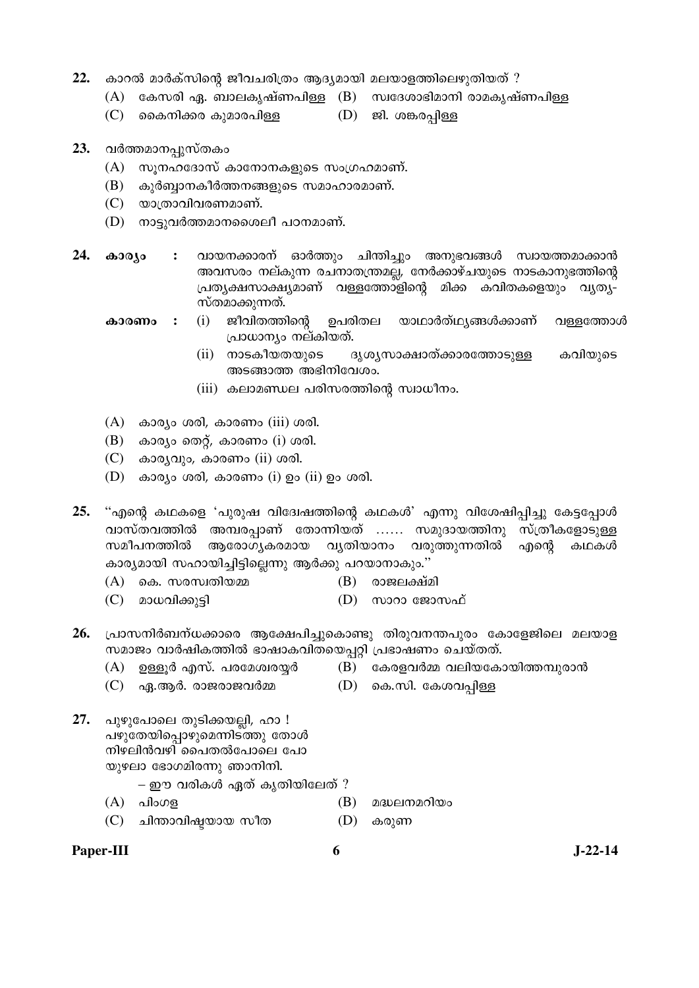- $22.$  കാറൽ മാർക്സിന്റെ ജീവചരിത്രം ആദ്യമായി മലയാളത്തിലെഴുതിയത് ?
	- $(A)$  കേസരി ഏ. ബാലകൃഷ്ണപിള്ള  $(B)$  സ്വദേശാഭിമാനി രാമകൃഷ്ണപിള്ള
	- $(C)$  മൈനിക്കര കുമാരപിള്ള  $(D)$  ജി. ശങ്കരപ്പിള്ള
- 23. വർത്തമാനപ്പുസ്തകം
	- $(A)$  സൂനഹദോസ് കാനോനകളുടെ സംഗ്രഹമാണ്.
	- $(B)$  കുർബ്ബാനകീർത്തനങ്ങളുടെ സമാഹാരമാണ്.
	- $(C)$ യാത്രാവിവരണമാണ്.
	- (D) നാട്ടുവർത്തമാനശൈലീ പഠനമാണ്.
- 24. **കാര്യം :** വായനക്കാരന് ഓർത്തും ചിന്തിച്ചും അനുഭവങ്ങൾ സ്വായത്തമാക്കാൻ അവസരം നല്കുന്ന രചനാതന്ത്രമല്ല, നേർക്കാഴ്ചയുടെ നാടകാനുഭത്തിന്റെ ്രപതൃക്ഷസാക്ഷ്യമാണ് വള്ളത്തോളിന്റെ മിക്ക കവിതകളെയും വൃത്യ-സ്തമാക്കുന്നത്.
	- കാര**ണം :** (i) ജീവിതത്തിന്റെ ഉപരിതല യാഥാർത്ഥ്യങ്ങൾക്കാണ് വള്ളത്തോൾ പ്രാധാന്യം നല്കിയത്.
		- (ii) നാടകീയതയുടെ ദൃശ്യസാക്ഷാത്ക്കാരത്തോടുള്ള കവിയുടെ  $\omega$ ങ്ങാത്ത അഭിനിവേശം.
		- $(iii)$  കലാമണ്ഡല പരിസരത്തിന്റെ സ്വാധീനം.
	- $(A)$  കാര്യം ശരി, കാരണം (iii) ശരി.
	- $(B)$  കാര്യം തെറ്റ്, കാരണം  $(i)$  ശരി.
	- $(C)$  കാര്യവും, കാരണം (ii) ശരി.
	- (D) കാര്യം ശരി, കാരണം  $(i)$  ഉം  $(ii)$  ഉം ശരി.

25. "എന്റെ കഥകളെ 'പുരുഷ വിദേശ്ഷത്തിന്റെ കഥകൾ' എന്നു വിശേഷിപ്പിച്ചു കേട്ടപ്പോൾ വാസ്തവത്തിൽ അമ്പരപ്പാണ് തോന്നിയത് …… സമുദായത്തിനു സ്ത്രീകളോടുള്ള  $\bm{w}$ മീപനത്തിൽ ആരോഗ്യകരമായ വ്യതിയാനം വരുത്തുന്നതിൽ എന്റെ കഥകൾ കാര്യമായി സഹായിച്ചിട്ടില്ലെന്നു ആർക്കു പറയാനാകും."

- $(A)$  കെ. സരസ്വതിയമ്മ  $(B)$  രാജലക്ഷ്മി
- $(C)$  മാധവിക്കുട്ടി  $(D)$  സാറാ ജോസഫ്
- 26. പ്രാസനിർബന്ധക്കാരെ ആക്ഷേപിച്ചുകൊണ്ടു തിരുവനന്തപുരം കോളേജിലെ മലയാള സമാജം വാർഷികത്തിൽ ഭാഷാകവിതയെപ്പറ്റി പ്രഭാഷണം ചെയ്തത്.
	- $(A)$  ഉള്ളൂർ എസ്. പരമേശ്വരയ്യർ  $(B)$  കേരളവർമ്മ വലിയകോയിത്തമ്പുരാൻ
	- $(C)$  ഏ.ആർ. രാജരാജവർമ്മ  $(D)$  കെ.സി. കേശവപ്പിള്ള
- 27. പുഴുപോലെ തുടിക്കയല്ലി, ഹാ ! പഴുതേയിപ്പൊഴുമെന്നിടത്തു തോൾ നിഴലിൻവഴി പൈതൽപോലെ പോ യുഴലാ ഭോഗമിരന്നു ഞാനിനി.

 $-$  ഈ വരികൾ ഏത് കൃതിയിലേത് ?

- $(A)$  പിംഗള $(B)$  മദ്ധലനമറിയം
- $(C)$  ചിന്താവിഷ്ടയായ സീത  $(D)$  കരുണ
- Paper-III 6 **J**-22-14

- 
-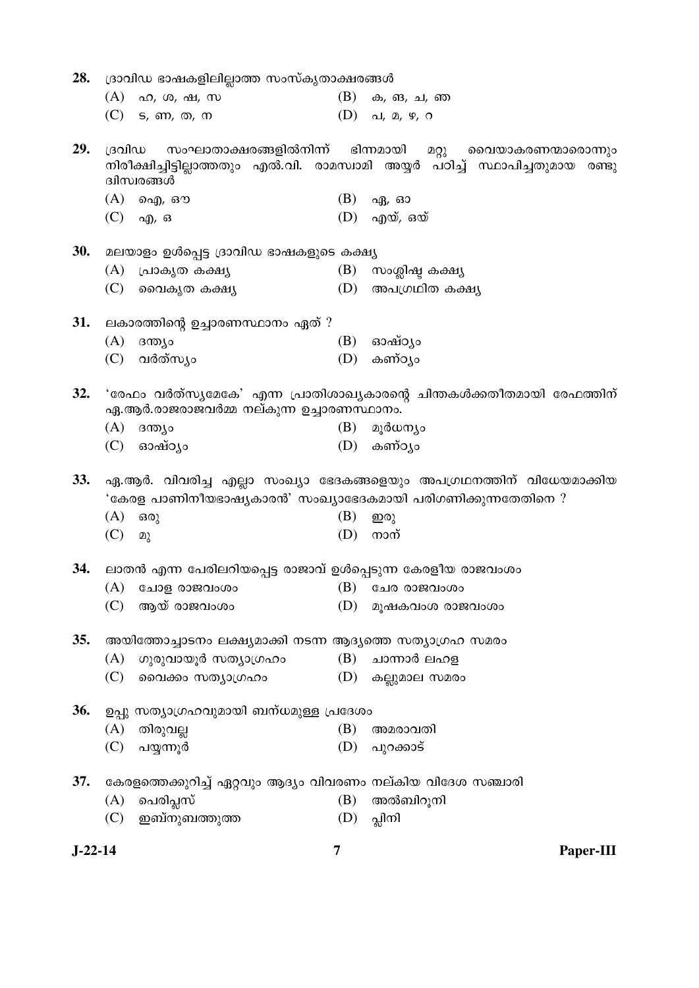| 28.        |        | ദ്രാവിഡ ഭാഷകളിലില്ലാത്ത സംസ്കൃതാക്ഷരങ്ങൾ                     |     |                                                                                                                                     |
|------------|--------|--------------------------------------------------------------|-----|-------------------------------------------------------------------------------------------------------------------------------------|
|            |        | $(A)$ ഹ, ശ, ഷ, സ                                             |     | $(B)$ ക, ങ, ച, ഞ                                                                                                                    |
|            |        | $(C)$ s, $m$ , $m$ , $m$                                     |     | $(D)$ al, $\mathbb{Q}$ , $\mathfrak{P}$ , $\mathfrak{O}$                                                                            |
| 29.        | ദ്രവിഡ | സംഘാതാക്ഷരങ്ങളിൽനിന്ന്<br>ദ്വിസ്വരങ്ങൾ                       |     | ഭിന്നമായി മറ്റു വൈയാകരണന്മാരൊന്നും<br>നിരീക്ഷിച്ചിട്ടില്ലാത്തതും എൽ.വി. രാമസ്വാമി അയ്യർ പഠിച്ച് സ്ഥാപിച്ചതുമായ രണ്ടു                |
|            |        | $(A)$ ഐ, ഔ                                                   |     | $(B)$ ഏ, ഓ                                                                                                                          |
|            |        | $(C)$ ag, $\sigma$                                           |     | $(D)$ എയ്, ഒയ്                                                                                                                      |
| 30.        |        | മലയാളം ഉൾപ്പെട്ട ദ്രാവിഡ ഭാഷകളുടെ കക്ഷ്യ                     |     |                                                                                                                                     |
|            | (A)    | പ്രാകൃത കക്ഷ്യ                                               |     | (B) സാശ്ലിഷ്ട കക്ഷ്യ                                                                                                                |
|            | (C)    | വൈകൃത കക്ഷ്യ                                                 |     | (D) അപഗ്രഥിത കക്ഷ്യ                                                                                                                 |
| 31.        |        | ലകാരത്തിന്റെ ഉച്ചാരണസ്ഥാനം ഏത് ?                             |     |                                                                                                                                     |
|            | (A)    | ദന്ത്യം                                                      |     | $(B)$ ഓഷ്ഠൃം                                                                                                                        |
|            |        | (C) വർത്സൃം                                                  |     | $(D)$ കണ്ഠൃം                                                                                                                        |
| 32.        |        | ഏ.ആർ.രാജരാജവർമ്മ നല്കുന്ന ഉച്ചാരണസ്ഥാനം.                     |     | 'രേഫം വർത്സ്യമേകേ' എന്ന പ്രാതിശാഖ്യകാരന്റെ ചിന്തകൾക്കതീതമായി രേഫത്തിന്                                                              |
|            |        | $(A)$ ദന്ത്യം                                                | (B) | മൂർധന്യം                                                                                                                            |
|            |        | $(C)$ ഓഷ്ഠൃം                                                 |     | $(D)$ കണ്ഠൃം                                                                                                                        |
| <b>33.</b> |        |                                                              |     | ഏ.ആർ. വിവരിച്ച എല്ലാ സംഖ്യാ ഭേദകങ്ങളെയും അപഗ്രഥനത്തിന് വിധേയമാക്കിയ<br>'കേരള പാണിനീയഭാഷ്യകാരൻ' സംഖ്യാഭേദകമായി പരിഗണിക്കുന്നതേതിനെ ? |
|            | (A)    | ഒരു                                                          | (B) | ഇരു                                                                                                                                 |
|            | (C)    | മു                                                           | (D) | നാന്                                                                                                                                |
| 34.        |        | ലാതൻ എന്ന പേരിലറിയപ്പെട്ട രാജാവ് ഉൾപ്പെടുന്ന കേരളീയ രാജവംശം  |     |                                                                                                                                     |
|            | (A)    | ചോള രാജവംശം                                                  |     | $(B)$ ചേര രാജവംശം                                                                                                                   |
|            | (C)    | ആയ് രാജവംശം                                                  | (D) | മൂഷകവംശ രാജവംശം                                                                                                                     |
| <b>35.</b> |        | അയിത്തോച്ചാടനം ലക്ഷ്യമാക്കി നടന്ന ആദ്യത്തെ സത്യാഗ്രഹ സമരം    |     |                                                                                                                                     |
|            | (A)    | ഗുരുവായൂർ സത്യാഗ്രഹം                                         | (B) | ചാന്നാർ ലഹള                                                                                                                         |
|            | (C)    | വൈക്കം സത്യാഗ്രഹം                                            |     | $(D)$ കല്ലുമാല സമരം                                                                                                                 |
| 36.        |        | ഉപ്പു സത്യാഗ്രഹവുമായി ബന്ധമുള്ള പ്രദേശം                      |     |                                                                                                                                     |
|            | (A)    | തിരുവല്ല                                                     | (B) | അമരാവതി                                                                                                                             |
|            | (C)    | പയ്യന്നൂർ                                                    | (D) | പുറക്കാട്                                                                                                                           |
| 37.        |        | കേരളത്തെക്കുറിച്ച് ഏറ്റവും ആദ്യം വിവരണം നല്കിയ വിദേശ സഞ്ചാരി |     |                                                                                                                                     |
|            | (A)    | പെരിപ്ലസ്                                                    | (B) | അൽബിറൂനി                                                                                                                            |
|            | (C)    | ഇബ്നുബത്തുത്ത                                                | (D) | പ്ലിനി                                                                                                                              |
| $J-22-14$  |        |                                                              | 7   | Paper-III                                                                                                                           |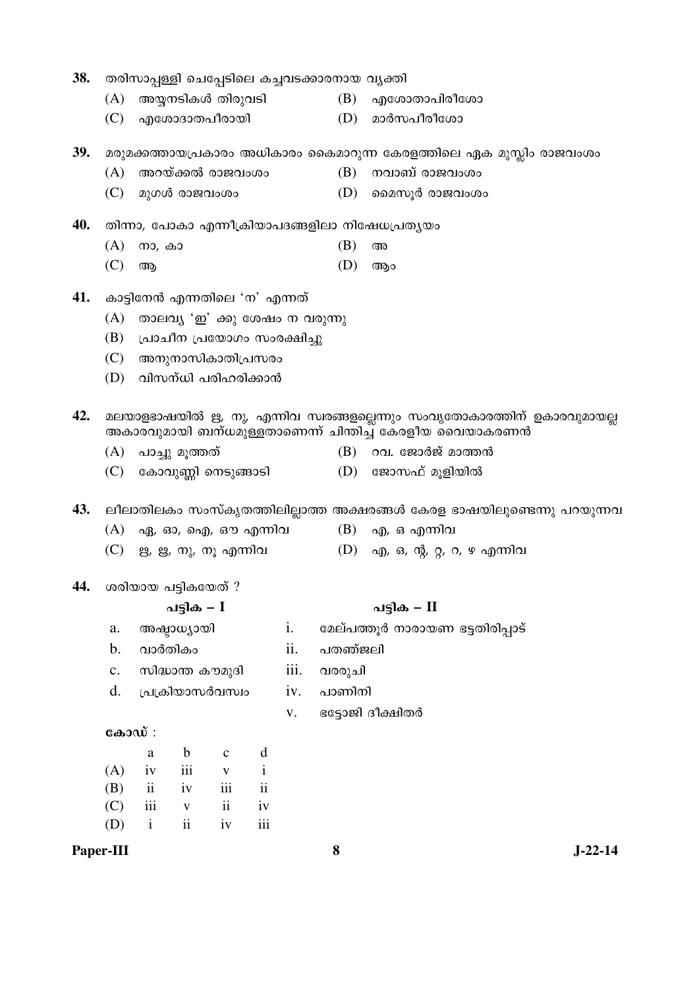| 38. |        |                   |                               |              |               |      | തരിസാപ്പള്ളി ചെപ്പേടിലെ കച്ചവടക്കാരനായ വൃക്തി |                                                                                                                                     |  |  |  |
|-----|--------|-------------------|-------------------------------|--------------|---------------|------|-----------------------------------------------|-------------------------------------------------------------------------------------------------------------------------------------|--|--|--|
|     | (A)    |                   | അയ്യനടികൾ തിരുവടി             |              |               |      | (B)                                           | എശോതാപിരീശോ                                                                                                                         |  |  |  |
|     | (C)    |                   | എശോദാതപീരായി                  |              |               |      | (D)                                           | മാർസപീരീശോ                                                                                                                          |  |  |  |
| 39. |        |                   |                               |              |               |      |                                               | മരുമക്കത്തായപ്രകാരം അധികാരം കൈമാറുന്ന കേരളത്തിലെ ഏക മുസ്ലിം രാജവംശം                                                                 |  |  |  |
|     | (A)    |                   | അറയ്ക്കൽ രാജവംശം              |              |               |      | (B)                                           | നവാബ് രാജവംശം                                                                                                                       |  |  |  |
|     | (C)    |                   | മുഗൾ രാജവംശം                  |              |               |      | (D)                                           | മൈസൂർ രാജവംശം                                                                                                                       |  |  |  |
| 40. |        |                   |                               |              |               |      |                                               | തിന്നാ, പോകാ എന്നീക്രിയാപദങ്ങളിലാ നിഷേധപ്രതൃയം                                                                                      |  |  |  |
|     | (A)    | നാ, കാ            |                               |              |               |      | (B)                                           | അ                                                                                                                                   |  |  |  |
|     | (C)    | ആ                 |                               |              |               |      | (D)                                           | ആം                                                                                                                                  |  |  |  |
| 41. |        |                   | കാട്ടിനേൻ എന്നതിലെ 'ന' എന്നത് |              |               |      |                                               |                                                                                                                                     |  |  |  |
|     | (A)    |                   | താലവൃ 'ഇ' ക്കു ശേഷം ന വരുന്നു |              |               |      |                                               |                                                                                                                                     |  |  |  |
|     | (B)    |                   | പ്രാചീന പ്രയോഗം സംരക്ഷിച്ചു   |              |               |      |                                               |                                                                                                                                     |  |  |  |
|     | (C)    | അനുനാസികാതിപ്രസരം |                               |              |               |      |                                               |                                                                                                                                     |  |  |  |
|     | (D)    |                   | വിസന്ധി പരിഹരിക്കാൻ           |              |               |      |                                               |                                                                                                                                     |  |  |  |
| 42. |        |                   |                               |              |               |      |                                               | മലയാളഭാഷയിൽ ഋ, നു, എന്നിവ സ്വരങ്ങളല്ലെന്നും സംവൃതോകാരത്തിന് ഉകാരവുമായല്ല<br>അകാരവുമായി ബന്ധമുള്ളതാണെന്ന് ചിന്തിച്ച് കേരളീയ വൈയാകരണൻ |  |  |  |
|     | (A)    |                   | പാച്ചു മൂത്തത്                |              |               |      |                                               | $(B)$ റവ. ജോർജ് മാത്തൻ                                                                                                              |  |  |  |
|     |        |                   | (C) കോവുണ്ണി നെടുങ്ങാടി       |              |               |      |                                               | (D) ജോസഫ് മൂളിയിൽ                                                                                                                   |  |  |  |
| 43. |        |                   |                               |              |               |      |                                               | ലീലാതിലകം സംസ്കൃതത്തിലില്ലാത്ത അക്ഷരങ്ങൾ കേരള ഭാഷയിലുണ്ടെന്നു പറയുന്നവ                                                              |  |  |  |
|     |        |                   | (A) ഏ, ഓ, ഐ, ഔ എന്നിവ         |              |               |      |                                               | $(B)$ എ, ഒ എന്നിവ                                                                                                                   |  |  |  |
|     |        |                   | (C) ഋ, ൠ, നു, നൂ എന്നിവ       |              |               |      |                                               | (D) എ, ഒ, ന്റ, റ്റ, റ, ഴ എന്നിവ                                                                                                     |  |  |  |
| 44. |        |                   | ശരിയായ പട്ടികയേത് ?           |              |               |      |                                               |                                                                                                                                     |  |  |  |
|     |        |                   | പട്ടിക – $I$                  |              |               |      |                                               | പട്ടിക – II                                                                                                                         |  |  |  |
|     | a.     |                   | അഷ്ടാധ്യായി                   |              |               | i.   |                                               | മേല്പത്തൂർ നാരായണ ഭട്ടതിരിപ്പാട്                                                                                                    |  |  |  |
|     | b.     |                   | വാർതികം                       |              |               | ii.  | പതഞ്ജലി                                       |                                                                                                                                     |  |  |  |
|     | c.     |                   | സിദ്ധാന്ത കൗമുദി              |              |               | iii. | വരരുചി                                        |                                                                                                                                     |  |  |  |
|     | d.     |                   | പ്രക്രിയാസർവസ്വം              |              |               | iv.  | പാണിനി                                        |                                                                                                                                     |  |  |  |
|     |        |                   |                               |              |               | V.   |                                               | ഭട്ടോജി ദീക്ഷിതർ                                                                                                                    |  |  |  |
|     | കോഡ് : |                   |                               |              |               |      |                                               |                                                                                                                                     |  |  |  |
|     |        | $\rm a$           | $\mathbf b$                   | $\mathbf{C}$ | d             |      |                                               |                                                                                                                                     |  |  |  |
|     | (A)    | iv                | iii                           | $\mathbf V$  | $\mathbf{i}$  |      |                                               |                                                                                                                                     |  |  |  |
|     | (B)    | $\rm ii$          | iv                            | iii          | $\mathbf{ii}$ |      |                                               |                                                                                                                                     |  |  |  |
|     | (C)    | iii               | $\mathbf V$                   | $\rm ii$     | iv            |      |                                               |                                                                                                                                     |  |  |  |
|     | (D)    | $\mathbf{i}$      | $\rm ii$                      | iv           | iii           |      |                                               |                                                                                                                                     |  |  |  |

Paper-III

 $\boldsymbol{8}$ 

 $J-22-14$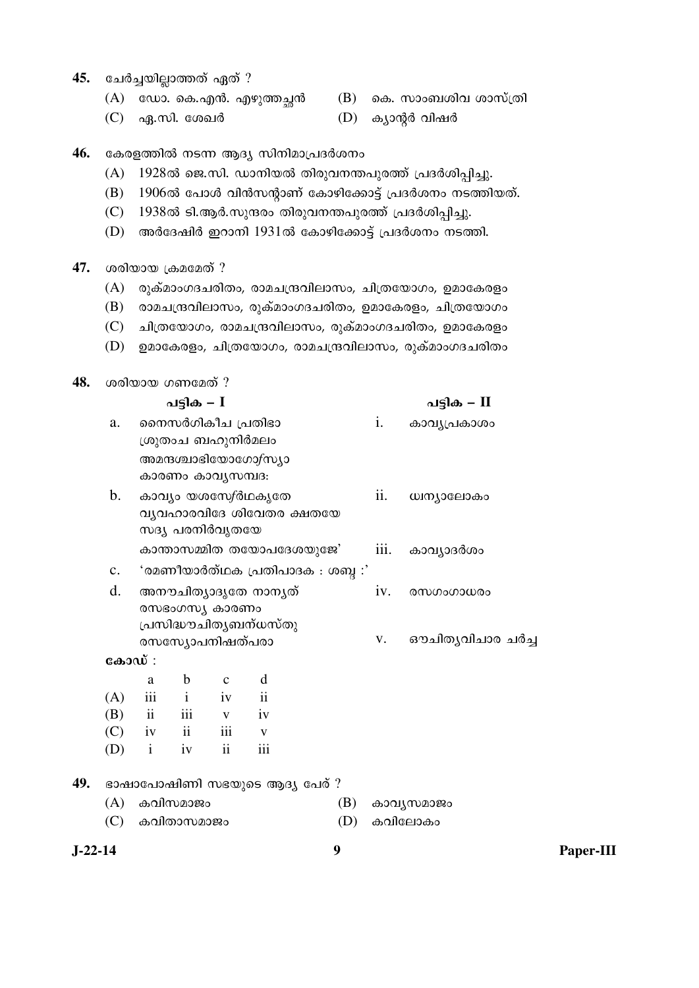- 45. ചേർച്ചയില്ലാത്തത് ഏത് ?
	- $(A)$  ഡോ. കെ.എൻ. എഴുത്തച്ഛൻ  $(B)$  കെ. സാംബശിവ ശാസ്ത്രി
		-
	- $(C)$  ഏ.സി. ശേഖർ  $(D)$  ക്യാന്റർ വിഷർ
- 46. കേരളത്തിൽ നടന്ന ആദ്യ സിനിമാപ്രദർശനം
	- $(A)$  1928ൽ ജെ.സി. ഡാനിയൽ തിരുവനന്തപുരത്ത് പ്രദർശിപ്പിച്ചു.
	- $(B)$  1906ൽ പോൾ വിൻസന്റാണ് കോഴിക്കോട്ട് പ്രദർശനം നടത്തിയത്.
	- $(C)$  1938ൽ ടി.ആർ.സുന്ദരം തിരുവനന്തപുരത്ത് പ്രദർശിപ്പിച്ചു.
	- $(D)$  അർദേഷിർ ഇറാനി 1931ൽ കോഴിക്കോട്ട് പ്രദർശനം നടത്തി.
- 47. ശരിയായ ക്രമമേത് ?
	- $(A)$  രുക്മാംഗദചരിതം, രാമചന്ദ്രവിലാസം, ചിത്രയോഗം, ഉമാകേരളം
	- $(B)$  രാമചന്ദ്രവിലാസം, രുക്മാംഗദചരിതം, ഉമാകേരളം, ചിത്രയോഗം
	- (C) ചിത്രയോഗം, രാമചന്ദ്രവിലാസം, രുക്മാംഗദചരിതം, ഉമാകേരളം
	- $(D)$  ഉമാകേരളം, ചിത്രയോഗം, രാമചന്ദ്രവിലാസം, രുക്മാംഗദചരിതം

| ശരിയായ ഗണമേത് ?<br>48. |  |  |
|------------------------|--|--|
|------------------------|--|--|

|         |                |              | പട്ടിക – $I$                           |              |                                                          |                                  |                    | പട്ടിക – II      |           |
|---------|----------------|--------------|----------------------------------------|--------------|----------------------------------------------------------|----------------------------------|--------------------|------------------|-----------|
|         | a.             |              | നൈസർഗികീച പ്രതിഭാ<br>ശ്രുതാച ബഹുനിർമലം |              | അമന്ദശ്ചാഭിയോഗോ $f$ സ്യാ                                 |                                  | i.                 | കാവൃപ്രകാശം      |           |
|         |                |              | കാരണം കാവൃസമ്പദ:                       |              |                                                          |                                  |                    |                  |           |
|         | b.             |              | സദ്യ പരനിർവൃതയേ                        |              | കാവ്യം യശസേ <i>∱</i> ർഥകൃതേ<br>വ്യവഹാരവിദേ ശിവേതര ക്ഷതയേ |                                  | ii.                | ധ്വന്യാലോകം      |           |
|         |                |              |                                        |              | കാന്താസമ്മിത തയോപദേശയുജേ'                                |                                  | $\overline{111}$ . | കാവ്യാദർശം       |           |
|         | $\mathbf{c}$ . |              |                                        |              |                                                          | 'രമണീയാർത്ഥക പ്രതിപാദക : ശബ്ദ :' |                    |                  |           |
|         | d.             |              | രസഭംഗസ്യ കാരണം                         |              | അനൗചിത്യാദൃതേ നാനൃത്<br>പ്രസിദ്ധൗചിതൃബന്ധസ്തു            |                                  | iv.                | രസഗംഗാധരം        |           |
|         |                |              | രസസ്യോപനിഷത്പരാ                        |              |                                                          |                                  | V.                 | ഔചിതൃവിചാര ചർച്ച |           |
|         | കോഡ് :         |              |                                        |              |                                                          |                                  |                    |                  |           |
|         |                | a            | $\mathbf b$                            | $\mathbf{C}$ | d                                                        |                                  |                    |                  |           |
|         | (A)            | iii          | $\mathbf{i}$                           | iv           | ii                                                       |                                  |                    |                  |           |
|         | (B)            | ii           | iii                                    | V            | iv                                                       |                                  |                    |                  |           |
|         | (C)            | iv           | ii                                     | iii          | $\mathbf{V}$                                             |                                  |                    |                  |           |
|         | (D)            | $\mathbf{i}$ | iv                                     | ii           | iii                                                      |                                  |                    |                  |           |
| 49.     |                |              |                                        |              | ഭാഷാപോഷിണി സഭയുടെ ആദ്യ പേര് ?                            |                                  |                    |                  |           |
|         | (A)            |              | കവിസമാജം                               |              |                                                          | (B)                              |                    | കാവൃസമാജം        |           |
|         | (C)            |              | കവിതാസമാജം                             |              |                                                          | (D)                              |                    | കവിലോകം          |           |
| J-22-14 |                |              |                                        |              |                                                          | 9                                |                    |                  | Paper-III |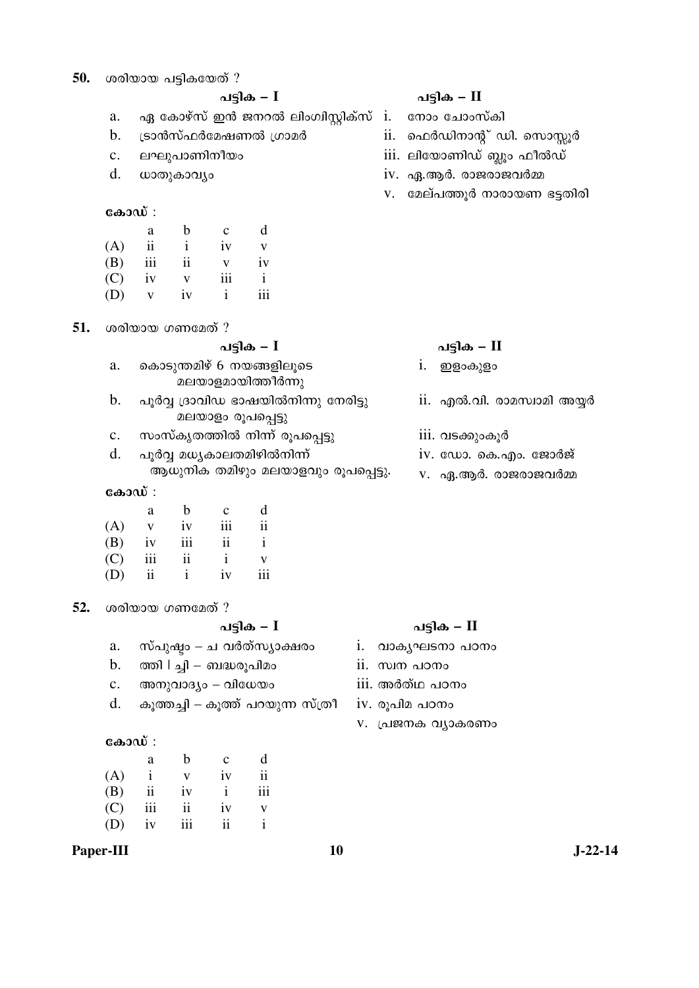| 50. |                | ശരിയായ പട്ടികയേത് ? |               |                    |                                                            |               |                            |  |  |
|-----|----------------|---------------------|---------------|--------------------|------------------------------------------------------------|---------------|----------------------------|--|--|
|     |                |                     |               |                    | പട്ടിക – I                                                 |               | പട്ടിക – II                |  |  |
|     | a.             |                     |               |                    | ഏ കോഴ്സ് ഇൻ ജനറൽ ലിംഗിസ്റ്റിക്സ്                           | i.            | നോം ചോംസ്കി                |  |  |
|     | b.             |                     |               |                    | ട്രാൻസ്ഫർമേഷണൽ ഗ്രാമർ                                      | ii.           | ഫെർഡിനാന്റ് ഡി. സൊസ്സൂർ    |  |  |
|     | c.             |                     |               | ലഘുപാണിനീയം        |                                                            |               | iii. ലിയോണിഡ് ബ്ലൂം ഫീൽഡ്  |  |  |
|     | d.             | ധാതുകാവ്യം          |               |                    |                                                            |               | iv. ഏ.ആർ. രാജരാജവർമ്മ      |  |  |
|     |                |                     |               |                    |                                                            | V.            | മേല്പത്തൂർ നാരായണ ഭട്ടതിരി |  |  |
|     | കോഡ് :         |                     |               |                    |                                                            |               |                            |  |  |
|     |                | a                   | $\mathbf b$   | $\mathbf{C}$       | d                                                          |               |                            |  |  |
|     | (A)            | $\rm ii$            | $\mathbf{i}$  | iv                 | V                                                          |               |                            |  |  |
|     | (B)            | $\overline{111}$    | ii            | $\mathbf V$        | iv                                                         |               |                            |  |  |
|     | (C)            | iv                  | $\mathbf{V}$  | iii                | $\mathbf{i}$                                               |               |                            |  |  |
|     | (D)            | $\mathbf V$         | iv            | $\mathbf{i}$       | iii                                                        |               |                            |  |  |
|     |                |                     |               |                    |                                                            |               |                            |  |  |
| 51. |                | ശരിയായ ഗണമേത് ?     |               |                    |                                                            |               |                            |  |  |
|     |                |                     |               |                    | പട്ടിക <i>–</i> I                                          |               | പട്ടിക – II                |  |  |
|     | a.             |                     |               |                    | കൊടുന്തമിഴ് 6 നയങ്ങളിലൂടെ<br>മലയാളമായിത്തീർന്നു            |               | ഇളാകുളം<br>1.              |  |  |
|     | b.             |                     |               |                    | പൂർവ്വ ദ്രാവിഡ ഭാഷയിൽനിന്നു നേരിട്ടു<br>മലയാളം രൂപപ്പെട്ടു |               | ii. എൽ.വി. രാമസ്വാമി അയ്യർ |  |  |
|     | $\mathbf{c}$ . |                     |               |                    | സംസ്കൃതത്തിൽ നിന്ന് രൂപപ്പെട്ടു                            |               | 111. വടക്കുംകൂർ            |  |  |
|     | d.             |                     |               |                    | പൂർവ്വ മധ്യകാലതമിഴിൽനിന്ന്                                 |               | iv. ഡോ. കെ.എം. ജോർജ്       |  |  |
|     |                |                     |               |                    | ആധുനിക തമിഴും മലയാളവും രൂപപ്പെട്ടു.                        |               | V. ഏ.ആർ. രാജരാജവർമ്മ       |  |  |
|     | കോഡ് :         |                     |               |                    |                                                            |               |                            |  |  |
|     |                | a                   | $\mathbf b$   | $\mathbf c$        | d                                                          |               |                            |  |  |
|     | (A)            | $\mathbf{V}$        | iv            | $\overline{111}$   | $\overline{11}$                                            |               |                            |  |  |
|     | (B)            | iv                  | iii           | $\rm ii$           | $\mathbf{i}$                                               |               |                            |  |  |
|     | (C)            | iii                 | $\mathbf{ii}$ | $\mathbf{i}$       | V                                                          |               |                            |  |  |
|     | (D)            | $\rm ii$            | $\rm i$       | iv                 | iii                                                        |               |                            |  |  |
| 52. |                | ശരിയായ ഗണമേത് ?     |               |                    |                                                            |               |                            |  |  |
|     |                |                     |               |                    | പട്ടിക – $I$                                               |               | പട്ടിക – II                |  |  |
|     | a.             |                     |               |                    | സ്പുഷ്ടം – ച വർത്സ്യാക്ഷരം                                 | i.            | വാകൃഘടനാ പഠനം              |  |  |
|     | b.             |                     |               |                    | ത്തി   ച്ചി – ബദ്ധരൂപിമം                                   | ii. സ്വന പഠനം |                            |  |  |
|     |                |                     |               |                    |                                                            |               |                            |  |  |
|     | $\mathbf{c}$ . |                     |               | അനുവാദ്യം – വിധേയം |                                                            |               | iii. അർത്ഥ പഠനം            |  |  |
|     | d.             |                     |               |                    |                                                            |               |                            |  |  |
|     |                |                     |               |                    | കൂത്തച്ചി – കൂത്ത് പറയുന്ന സ്ത്രീ                          |               | iv. രൂപിമ പഠനം             |  |  |
|     | കോഡ് :         |                     |               |                    |                                                            |               | v. പ്രജനക വ്യാകരണം         |  |  |
|     |                | a                   | $\mathbf b$   | $\mathbf c$        | d                                                          |               |                            |  |  |
|     | (A)            | $\mathbf{i}$        | $\mathbf V$   | iv                 | $\mathbf{ii}$                                              |               |                            |  |  |
|     | (B)            | $\rm ii$            | iv            | $\mathbf{i}$       | iii                                                        |               |                            |  |  |
|     | (C)            | iii                 | $\rm ii$      | iv                 | V                                                          |               |                            |  |  |

Paper-III

 $10$ 

 $J-22-14$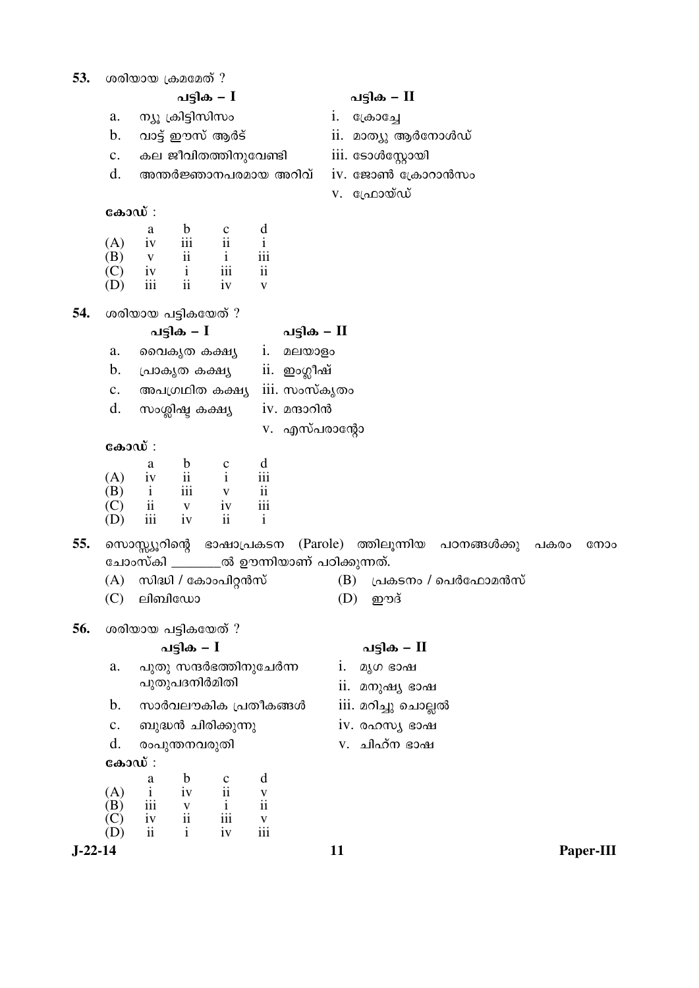| 53.       |                                                                   |                                                                               | ശരിയായ ക്രമമേത് ?                        |                             |                            |                                          |     |                                  |      |           |
|-----------|-------------------------------------------------------------------|-------------------------------------------------------------------------------|------------------------------------------|-----------------------------|----------------------------|------------------------------------------|-----|----------------------------------|------|-----------|
|           | പട്ടിക – $I$                                                      |                                                                               |                                          |                             |                            |                                          |     | പട്ടിക – II                      |      |           |
|           | a.                                                                | ന്യൂ ക്രിട്ടിസിസം<br>വാട്ട് ഈസ് ആർട്<br>കല ജീവിതത്തിനുവേണ്ടി                  |                                          |                             |                            |                                          |     | ക്രോച്ചേ                         |      |           |
|           | b.                                                                |                                                                               |                                          |                             |                            |                                          |     | ii. മാത്യു ആർനോൾഡ്               |      |           |
|           | $\mathbf{c}$ .                                                    |                                                                               |                                          |                             |                            |                                          |     | iii. ടോൾസ്റ്റോയി                 |      |           |
|           | d.                                                                |                                                                               |                                          | അന്തർജ്ഞാനപരമായ അറിവ്       |                            |                                          |     | iv. ജോൺ ക്രോറാൻസം                |      |           |
|           |                                                                   |                                                                               |                                          |                             |                            |                                          |     | v. ഫ്രോയ്ഡ്                      |      |           |
|           | കോഡ് :                                                            |                                                                               |                                          |                             |                            |                                          |     |                                  |      |           |
|           |                                                                   | a                                                                             | $\mathbf b$<br>$\overline{\textbf{iii}}$ | $\frac{c}{ii}$              | $\mathbf d$<br>$\mathbf i$ |                                          |     |                                  |      |           |
|           | (A)<br>(B)                                                        | iv<br>$\mathbf V$                                                             | $\rm ii$                                 | $\mathbf{i}$                | iii                        |                                          |     |                                  |      |           |
|           | (C)                                                               | iv                                                                            | $\mathbf{i}$                             | iii                         | $\overline{\textbf{ii}}$   |                                          |     |                                  |      |           |
|           | (D)                                                               | iii                                                                           | $\rm ii$                                 | iv                          | $\mathbf{V}$               |                                          |     |                                  |      |           |
| 54.       |                                                                   |                                                                               | ശരിയായ പട്ടികയേത് ?                      |                             |                            |                                          |     |                                  |      |           |
|           |                                                                   |                                                                               | പട്ടിക – $I$                             |                             |                            | പട്ടിക – II                              |     |                                  |      |           |
|           | a.                                                                |                                                                               | വൈകൃത കക്ഷ്യ                             |                             | i.                         | മലയാളം                                   |     |                                  |      |           |
|           | b.                                                                | ii. ഇംഗ്ലീഷ്<br>പ്രാകൃത കക്ഷ്യ                                                |                                          |                             |                            |                                          |     |                                  |      |           |
|           | iii. സംസ്കൃതം<br>അപഗ്രഥിത കക്ഷ്യ<br>$\mathbf{c}.$                 |                                                                               |                                          |                             |                            |                                          |     |                                  |      |           |
|           | d.<br>iv. മന്ദാറിൻ<br>സംശ്ലിഷ്ട കക്ഷ്യ<br>v. എസ്പരാന്റോ<br>കോഡ് : |                                                                               |                                          |                             |                            |                                          |     |                                  |      |           |
|           |                                                                   |                                                                               |                                          |                             |                            |                                          |     |                                  |      |           |
|           |                                                                   |                                                                               |                                          |                             |                            |                                          |     |                                  |      |           |
|           | (A)                                                               | a<br>iv                                                                       | $\mathbf b$<br>$\rm ii$                  | $\mathbf c$<br>$\mathbf{i}$ | d<br>iii                   |                                          |     |                                  |      |           |
|           | (B)                                                               | $\mathbf{i}$                                                                  | iii                                      | $\mathbf{V}$                | $\overline{\mathbf{ii}}$   |                                          |     |                                  |      |           |
|           | (C)                                                               | $\ddot{\mathbf{i}}$                                                           | $\mathbf{V}$                             | iv                          | iii                        |                                          |     |                                  |      |           |
|           | (D)                                                               | iii                                                                           | iv                                       | ii                          | $\mathbf{i}$               |                                          |     |                                  |      |           |
| 55.       |                                                                   |                                                                               |                                          | സൊസ്സ്യൂറിന്റെ ഭാഷാപ്രകടന   |                            |                                          |     | (Parole) ത്തിലൂന്നിയ പഠനങ്ങൾക്കു | പകരാ | നോം       |
|           |                                                                   |                                                                               |                                          |                             |                            | ചോംസ്കി _______ൽ ഊന്നിയാണ് പഠിക്കുന്നത്. |     |                                  |      |           |
|           | (A)                                                               |                                                                               |                                          | സിദ്ധി / കോംപിറ്റൻസ്        |                            |                                          | (B) | പ്രകടനം / പെർഫോമൻസ്              |      |           |
|           |                                                                   |                                                                               | $(C)$ ലിബിഡോ                             |                             |                            |                                          |     | $(D)$ ഈദ്                        |      |           |
| 56.       |                                                                   |                                                                               | ശരിയായ പട്ടികയേത് ?                      |                             |                            |                                          |     |                                  |      |           |
|           |                                                                   |                                                                               | പട്ടിക <i>–</i> I                        |                             |                            |                                          |     | പട്ടിക – II                      |      |           |
|           | a.                                                                |                                                                               |                                          | പുതു സന്ദർഭത്തിനുചേർന്ന     |                            |                                          | i.  | മൃഗ ഭാഷ                          |      |           |
|           |                                                                   | പുതുപദനിർമിതി<br>സാർവലൗകിക പ്രതീകങ്ങൾ<br>ബുദ്ധൻ ചിരിക്കുന്നു<br>രംപുന്തനവരുതി |                                          |                             |                            |                                          |     | 11. മനുഷ്യ ഭാഷ                   |      |           |
|           | b.                                                                |                                                                               |                                          |                             |                            |                                          |     | iii. മറിച്ചു ചൊല്ലൽ              |      |           |
|           | $\mathbf{c}$ .                                                    |                                                                               |                                          |                             |                            |                                          |     | iv. രഹസ്യ ഭാഷ                    |      |           |
|           | d.                                                                |                                                                               |                                          |                             |                            |                                          |     | v. ചിഹ്ന ഭാഷ                     |      |           |
|           | കോഡ് :                                                            |                                                                               |                                          |                             |                            |                                          |     |                                  |      |           |
|           | (A)                                                               | a<br>$\mathbf{i}$                                                             | b<br>iv                                  | $\frac{c}{ii}$              | d<br>$\mathbf V$           |                                          |     |                                  |      |           |
|           | (B)                                                               | iii                                                                           |                                          | $\mathbf{i}$                | $\mathbf{ii}$              |                                          |     |                                  |      |           |
|           | (C)                                                               | iv                                                                            | $\frac{v}{ii}$<br>$\mathbf{i}$           | iii                         | $\frac{v}{111}$            |                                          |     |                                  |      |           |
| $J-22-14$ | (D)                                                               | ii                                                                            |                                          | iv                          |                            |                                          | 11  |                                  |      | Paper-III |
|           |                                                                   |                                                                               |                                          |                             |                            |                                          |     |                                  |      |           |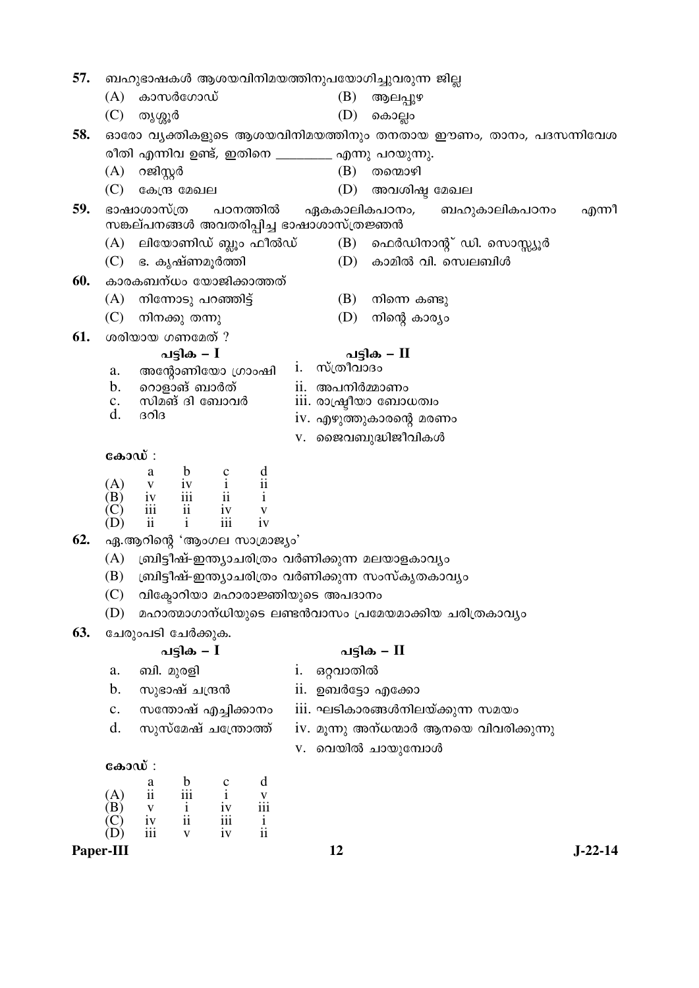| 57. |                                                              |                         |                                                                        |                                                          |                                                 |                |                                               | ബഹുഭാഷകൾ ആശയവിനിമയത്തിനുപയോഗിച്ചുവരുന്ന ജില്ല       |                                                        |  |           |  |  |
|-----|--------------------------------------------------------------|-------------------------|------------------------------------------------------------------------|----------------------------------------------------------|-------------------------------------------------|----------------|-----------------------------------------------|-----------------------------------------------------|--------------------------------------------------------|--|-----------|--|--|
|     | (A)                                                          |                         | കാസർഗോഡ്                                                               |                                                          |                                                 |                | (B)                                           | ആലപ്പുഴ                                             |                                                        |  |           |  |  |
|     | (C)                                                          | തൃശ്ശൂർ                 |                                                                        |                                                          |                                                 |                | (D)                                           | കൊല്ലം                                              |                                                        |  |           |  |  |
| 58. | ഓരോ വൃക്തികളുടെ ആശയവിനിമയത്തിനും തനതായ ഈണം, താനം, പദസന്നിവേശ |                         |                                                                        |                                                          |                                                 |                |                                               |                                                     |                                                        |  |           |  |  |
|     |                                                              |                         |                                                                        |                                                          |                                                 |                |                                               | രീതി എന്നിവ ഉണ്ട്, ഇതിനെ ________ എന്നു പറയുന്നു.   |                                                        |  |           |  |  |
|     | (A)                                                          | റജിസ്റ്റർ               |                                                                        |                                                          |                                                 |                | (B)                                           | തന്മൊഴി                                             |                                                        |  |           |  |  |
|     | (C)                                                          |                         | കേന്ദ്ര മേഖല                                                           |                                                          |                                                 |                | (D)                                           | അവശിഷ്ട മേഖല                                        |                                                        |  |           |  |  |
| 59. |                                                              | ഭാഷാശാസ്ത്ര             |                                                                        |                                                          | പഠനത്തിൽ                                        |                |                                               | ഏകകാലികപഠനം,                                        | ബഹുകാലികപഠനം                                           |  | എന്നീ     |  |  |
|     |                                                              |                         |                                                                        |                                                          |                                                 |                | സങ്കല്പനങ്ങൾ അവതരിപ്പിച്ച ഭാഷാശാസ്ത്രജ്ഞൻ     |                                                     |                                                        |  |           |  |  |
|     | (A)                                                          |                         |                                                                        |                                                          | ലിയോണിഡ് ബ്ലൂം ഫീൽഡ്                            |                |                                               |                                                     | (B) ഫെർഡിനാന്റ് ഡി. സൊസ്സ്യൂർ                          |  |           |  |  |
|     |                                                              |                         | (C) ഭ. കൃഷ്ണമൂർത്തി                                                    |                                                          |                                                 |                | (D)                                           |                                                     | കാമിൽ വി. സെലബിൾ                                       |  |           |  |  |
| 60. |                                                              |                         |                                                                        |                                                          | കാരകബന്ധം യോജിക്കാത്തത്                         |                |                                               |                                                     |                                                        |  |           |  |  |
|     | (A)                                                          |                         | നിന്നോടു പറഞ്ഞിട്ട്                                                    |                                                          |                                                 |                | (B)                                           | നിന്നെ കണ്ടു                                        |                                                        |  |           |  |  |
|     | (C)                                                          |                         | നിനക്കു തന്നു                                                          |                                                          |                                                 |                | (D)                                           | നിന്റെ കാര്യം                                       |                                                        |  |           |  |  |
| 61. |                                                              |                         | ശരിയായ ഗണമേത് ?                                                        |                                                          |                                                 |                |                                               |                                                     |                                                        |  |           |  |  |
|     |                                                              |                         | പട്ടിക – $I$                                                           |                                                          |                                                 | $\mathbf{i}$ . |                                               | പട്ടിക – II                                         |                                                        |  |           |  |  |
|     | അന്റോണിയോ ഗ്രാംഷി<br>a.                                      |                         |                                                                        |                                                          |                                                 |                | സ്ത്രീവാദം                                    |                                                     |                                                        |  |           |  |  |
|     | റൊളാങ് ബാർത്<br>b.                                           |                         |                                                                        |                                                          |                                                 |                |                                               | ii. അപനിർമ്മാണം                                     |                                                        |  |           |  |  |
|     | സിമങ് ദി ബോവർ<br>$\mathbf{c}$ .<br>d.<br>ദറിദ                |                         |                                                                        |                                                          |                                                 |                | iii. രാഷ്ട്രീയാ ബോധത്വം                       |                                                     |                                                        |  |           |  |  |
|     |                                                              |                         |                                                                        |                                                          |                                                 |                | iv. എഴുത്തുകാരന്റെ മരണം<br>V. ജൈവബുദ്ധിജീവികൾ |                                                     |                                                        |  |           |  |  |
|     |                                                              |                         |                                                                        |                                                          |                                                 |                |                                               |                                                     |                                                        |  |           |  |  |
|     | കോഡ് :                                                       |                         |                                                                        |                                                          |                                                 |                |                                               |                                                     |                                                        |  |           |  |  |
|     | (A)                                                          | a                       | $\mathbf b$                                                            | $\begin{array}{cc} c & i \\ i & ii \\ i & j \end{array}$ | $\frac{d}{ii}$                                  |                |                                               |                                                     |                                                        |  |           |  |  |
|     | (B)                                                          |                         | $\begin{tabular}{cc} v & iv \\ iv & iii \\ iii & ii \\ \end{tabular}$  |                                                          | $\rm i$                                         |                |                                               |                                                     |                                                        |  |           |  |  |
|     | (C)<br>(D)                                                   | $\overline{\mathbf{u}}$ | $\mathbf{i}$                                                           | $\frac{iv}{iii}$                                         | $\mathbf{V}$<br>iv                              |                |                                               |                                                     |                                                        |  |           |  |  |
| 62. |                                                              |                         |                                                                        |                                                          | ഏ.ആറിന്റെ 'ആംഗല സാമ്രാജ്യം'                     |                |                                               |                                                     |                                                        |  |           |  |  |
|     | (A)                                                          |                         |                                                                        |                                                          |                                                 |                |                                               | ബ്രിട്ടീഷ്-ഇന്ത്യാചരിത്രം വർണിക്കുന്ന മലയാളകാവ്യം   |                                                        |  |           |  |  |
|     | (B)                                                          |                         |                                                                        |                                                          |                                                 |                |                                               | ബ്രിട്ടീഷ്-ഇന്ത്യാചരിത്രം വർണിക്കുന്ന സംസ്കൃതകാവ്യം |                                                        |  |           |  |  |
|     | (C)                                                          |                         |                                                                        |                                                          |                                                 |                | വിക്ടോറിയാ മഹാരാജ്ഞിയുടെ അപദാനം               |                                                     |                                                        |  |           |  |  |
|     | (D)                                                          |                         |                                                                        |                                                          |                                                 |                |                                               |                                                     | മഹാത്മാഗാന്ധിയുടെ ലണ്ടൻവാസം പ്രമേയമാക്കിയ ചരിത്രകാവ്യം |  |           |  |  |
| 63. |                                                              |                         | ചേരുംപടി ചേർക്കുക.                                                     |                                                          |                                                 |                |                                               |                                                     |                                                        |  |           |  |  |
|     |                                                              |                         | പട്ടിക – $I$                                                           |                                                          |                                                 |                | പട്ടിക – $\Pi$                                |                                                     |                                                        |  |           |  |  |
|     | ബി. മുരളി<br>a.                                              |                         |                                                                        |                                                          |                                                 | 1.             | ഒറ്റവാതിൽ                                     |                                                     |                                                        |  |           |  |  |
|     | സുഭാഷ് ചന്ദ്രൻ<br>b.                                         |                         |                                                                        |                                                          |                                                 |                |                                               | ii. ഉബർട്ടോ എക്കോ                                   |                                                        |  |           |  |  |
|     | സതോഷ് എച്ചിക്കാനം<br>c.                                      |                         |                                                                        |                                                          |                                                 |                |                                               |                                                     | iii. ഘടികാരങ്ങൾനിലയ്ക്കുന്ന സമയം                       |  |           |  |  |
|     | d.                                                           |                         | സുസ്മേഷ് ചന്ത്രോത്ത്                                                   |                                                          |                                                 |                |                                               |                                                     | iv. മൂന്നു അന്ധന്മാർ ആനയെ വിവരിക്കുന്നു                |  |           |  |  |
|     |                                                              |                         |                                                                        |                                                          |                                                 |                |                                               | v. വെയിൽ ചായുമ്പോൾ                                  |                                                        |  |           |  |  |
|     | കോഡ് :                                                       |                         |                                                                        |                                                          |                                                 |                |                                               |                                                     |                                                        |  |           |  |  |
|     |                                                              |                         | $\begin{array}{ccc} a & b \\ ii & iii \\ v & i \\ iv & ii \end{array}$ | $\begin{array}{c} c \\ i \\ iv \\ iii \end{array}$       | d                                               |                |                                               |                                                     |                                                        |  |           |  |  |
|     | $\begin{array}{c} (A) \\ (B) \end{array}$                    |                         |                                                                        |                                                          |                                                 |                |                                               |                                                     |                                                        |  |           |  |  |
|     | C)                                                           |                         |                                                                        |                                                          | $\frac{v}{\text{iii}}$<br>$\frac{1}{\text{ii}}$ |                |                                               |                                                     |                                                        |  |           |  |  |
|     |                                                              | iii                     | $\overline{\mathbf{V}}$                                                | iv                                                       |                                                 |                |                                               |                                                     |                                                        |  |           |  |  |
|     | Paper-III                                                    |                         |                                                                        |                                                          |                                                 |                | 12                                            |                                                     |                                                        |  | $J-22-14$ |  |  |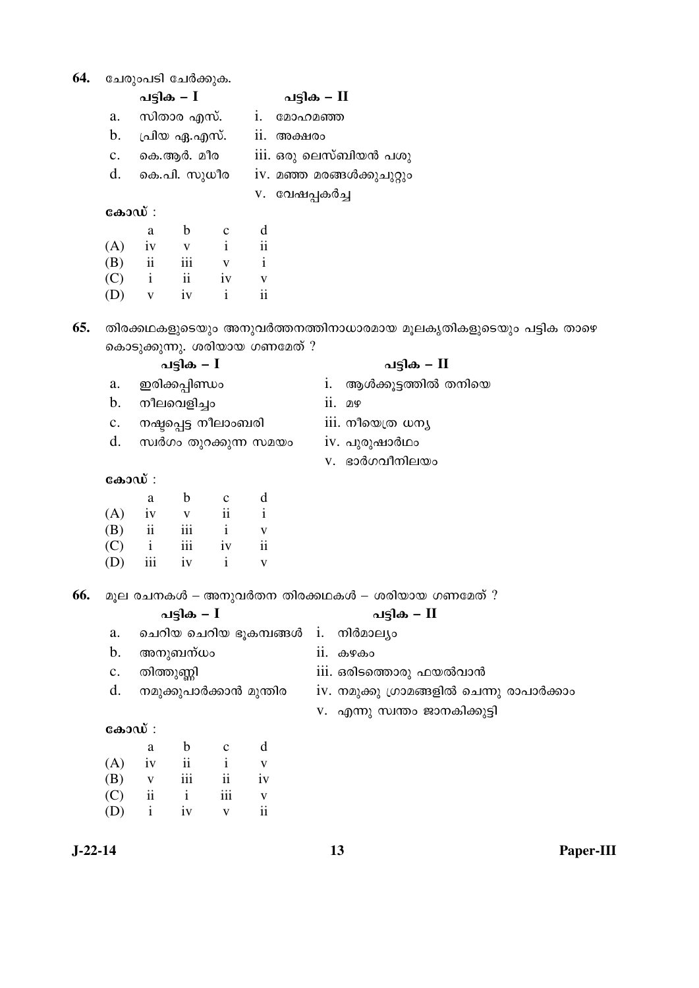| 64.       |                                                                                     |                          | ചേരുംപടി ചേർക്കുക.            |              |                          |            |                                     |                                                                   |  |  |  |  |
|-----------|-------------------------------------------------------------------------------------|--------------------------|-------------------------------|--------------|--------------------------|------------|-------------------------------------|-------------------------------------------------------------------|--|--|--|--|
|           |                                                                                     |                          | പട്ടിക – I                    |              |                          |            | പട്ടിക – II                         |                                                                   |  |  |  |  |
|           | a.                                                                                  |                          | സിതാര എസ്.                    |              |                          |            | i. മോഹമഞ്ഞ                          |                                                                   |  |  |  |  |
|           | b.                                                                                  |                          | പ്രിയ ഏ.എസ്.                  |              |                          | ii. അക്ഷരം |                                     |                                                                   |  |  |  |  |
|           | c.                                                                                  |                          | കെ.ആർ. മീര                    |              |                          |            | iii. ഒരു ലെസ്ബിയൻ പശു               |                                                                   |  |  |  |  |
|           | d.<br>കെ.പി. സുധീര                                                                  |                          |                               |              |                          |            | iv. മഞ്ഞ മരങ്ങൾക്കുചുറ്റും          |                                                                   |  |  |  |  |
|           |                                                                                     |                          |                               |              |                          |            | v. വേഷപ്പകർച്ച                      |                                                                   |  |  |  |  |
|           |                                                                                     | കോഡ് :                   |                               |              |                          |            |                                     |                                                                   |  |  |  |  |
|           |                                                                                     | a                        | $\mathbf b$                   | $\mathbf C$  | d                        |            |                                     |                                                                   |  |  |  |  |
|           | (A)                                                                                 | iv                       | $\mathbf V$                   | $\mathbf{i}$ | $\mathbf{ii}$            |            |                                     |                                                                   |  |  |  |  |
|           | (B)                                                                                 | $\overline{\textbf{ii}}$ | iii                           | $\mathbf V$  | $\mathbf{i}$             |            |                                     |                                                                   |  |  |  |  |
|           | (C)                                                                                 | $\mathbf{i}$             | ii                            | iv           | $\mathbf V$              |            |                                     |                                                                   |  |  |  |  |
|           | (D)                                                                                 | $\mathbf V$              | iv                            | $\mathbf{i}$ | $\mathbf{ii}$            |            |                                     |                                                                   |  |  |  |  |
| 65.       |                                                                                     |                          |                               |              |                          |            |                                     | തിരക്കഥകളുടെയും അനുവർത്തനത്തിനാധാരമായ മൂലകൃതികളുടെയും പട്ടിക താഴെ |  |  |  |  |
|           |                                                                                     |                          | കൊടുക്കുന്നു. ശരിയായ ഗണമേത് ? |              |                          |            |                                     |                                                                   |  |  |  |  |
|           |                                                                                     |                          | പട്ടിക <i>–</i> I             |              |                          |            |                                     | പട്ടിക – II                                                       |  |  |  |  |
|           | ഇരിക്കപ്പിണ്ഡം<br>a.<br>b.<br>നീലവെളിച്ചം<br>നഷ്ടപ്പെട്ട നീലാംബരി<br>$\mathbf{c}$ . |                          |                               |              |                          |            | i.                                  | ആൾക്കൂട്ടത്തിൽ തനിയെ                                              |  |  |  |  |
|           |                                                                                     |                          |                               |              |                          |            | $ii.$ 2 $9$                         |                                                                   |  |  |  |  |
|           |                                                                                     |                          |                               |              |                          |            | iii. നീയെത്ര ധനൃ                    |                                                                   |  |  |  |  |
|           | d.<br>സ്വർഗം തുറക്കുന്ന സമയം                                                        |                          |                               |              |                          |            | iv. പുരുഷാർഥം                       |                                                                   |  |  |  |  |
|           |                                                                                     |                          |                               |              |                          |            | v. ഭാർഗവീനിലയം                      |                                                                   |  |  |  |  |
|           |                                                                                     | കോഡ് :                   |                               |              |                          |            |                                     |                                                                   |  |  |  |  |
|           |                                                                                     | a                        | $\mathbf b$                   | $\mathbf c$  | d                        |            |                                     |                                                                   |  |  |  |  |
|           | (A)                                                                                 | iv                       | $\mathbf V$                   | $\rm ii$     | $\mathbf{i}$             |            |                                     |                                                                   |  |  |  |  |
|           | (B)                                                                                 | $\overline{\textbf{ii}}$ | iii                           | $\mathbf{i}$ | $\mathbf V$              |            |                                     |                                                                   |  |  |  |  |
|           | (C)                                                                                 | $\mathbf{i}$             | $\,$ iii                      | iv           | $\overline{\textbf{ii}}$ |            |                                     |                                                                   |  |  |  |  |
|           | (D)                                                                                 | iii                      | 1V                            | 1            | V                        |            |                                     |                                                                   |  |  |  |  |
| 66.       |                                                                                     |                          |                               |              |                          |            |                                     | മൂല രചനകൾ – അനുവർതന തിരക്കഥകൾ – ശരിയായ ഗണമേത് ?                   |  |  |  |  |
|           |                                                                                     |                          | പട്ടിക – $I$                  |              |                          |            |                                     | പട്ടിക – II                                                       |  |  |  |  |
|           | a.                                                                                  |                          |                               |              |                          |            | ചെറിയ ചെറിയ ഭൂകമ്പങ്ങൾ i. നിർമാല്യം |                                                                   |  |  |  |  |
|           | b.                                                                                  |                          | അനുബന്ധം                      |              |                          |            | ii. கூரக <sub>்</sub>               |                                                                   |  |  |  |  |
|           | $\mathbf{c}.$                                                                       |                          | തിത്തുണ്ണി                    |              |                          |            |                                     | iii. ഒരിടത്തൊരു ഫയൽവാൻ                                            |  |  |  |  |
|           | d.                                                                                  |                          | നമുക്കുപാർക്കാൻ മുന്തിര       |              |                          |            |                                     | iv. നമുക്കു ഗ്രാമങ്ങളിൽ ചെന്നു രാപാർക്കാം                         |  |  |  |  |
|           |                                                                                     |                          |                               |              |                          |            |                                     | v. എന്നു സ്വന്തം ജാനകിക്കുട്ടി                                    |  |  |  |  |
|           |                                                                                     | കോഡ് :                   |                               |              |                          |            |                                     |                                                                   |  |  |  |  |
|           |                                                                                     | a                        | $\mathbf b$                   | $\mathbf{C}$ | d                        |            |                                     |                                                                   |  |  |  |  |
|           | (A)                                                                                 | iv                       | $\rm ii$                      | $\mathbf{i}$ | $\mathbf V$              |            |                                     |                                                                   |  |  |  |  |
|           | (B)                                                                                 | $\mathbf{V}$             | $\rm iii$                     | $\rm ii$     | iv                       |            |                                     |                                                                   |  |  |  |  |
|           | (C)                                                                                 | $\mathbf{ii}$            | $\mathbf{i}$                  | iii          | $\mathbf V$              |            |                                     |                                                                   |  |  |  |  |
|           | (D)                                                                                 | $\,\dot{1}$              | iv                            | $\mathbf V$  | $\mathbf{ii}$            |            |                                     |                                                                   |  |  |  |  |
| $J-22-14$ |                                                                                     |                          |                               |              |                          |            | 13                                  | Paper-                                                            |  |  |  |  |

Paper-III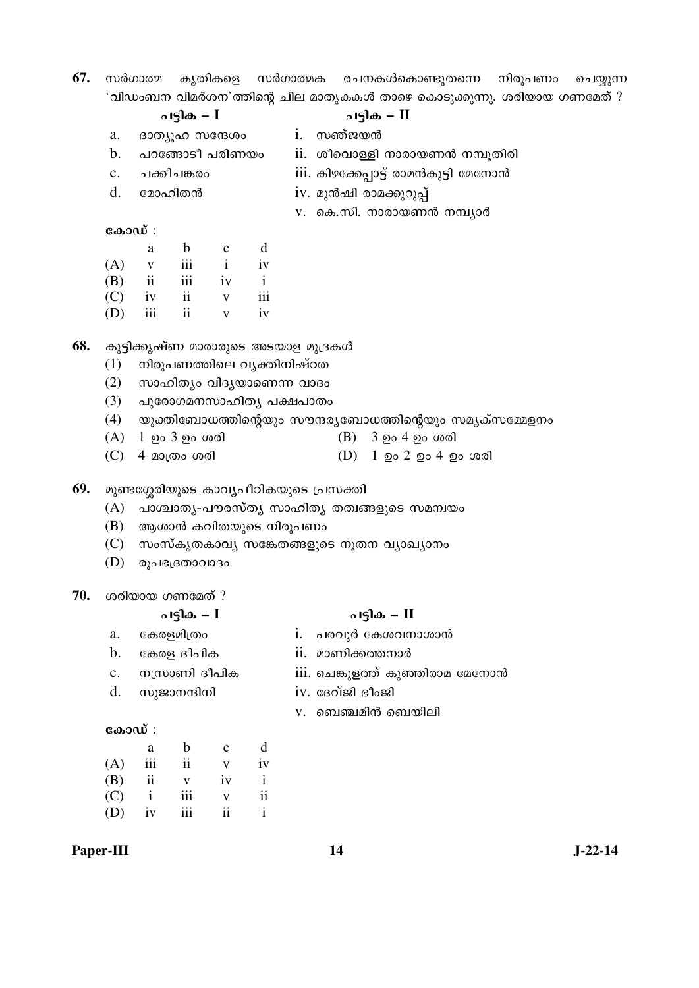67. സർഗാത്മ കൃതികളെ സർഗാത്മക രചനകൾകൊണ്ടുതന്നെ നിരൂപണം ചെയ്യുന്ന 'വിഡംബന വിമർശന'ത്തിന്റെ ചില മാതൃകകൾ താഴെ കൊടുക്കുന്നു. ശരിയായ ഗണമേത് ?<br>പടിക — I

|     |                |              | പട്ടിക – $I$               |              |                           | പട്ടിക – II                                 |                                                               |  |  |  |  |
|-----|----------------|--------------|----------------------------|--------------|---------------------------|---------------------------------------------|---------------------------------------------------------------|--|--|--|--|
|     | a.             |              | ദാത്യൂഹ സന്ദേശം            |              |                           | i. സഞ്ജയൻ                                   |                                                               |  |  |  |  |
|     | b.             |              | പറങ്ങോടീ പരിണയം            |              |                           | ii. ശീവൊള്ളി നാരായണൻ നമ്പൂതിരി              |                                                               |  |  |  |  |
|     | $\mathbf{c}$ . |              | ചക്കീചങ്കരാ                |              |                           |                                             | iii. കിഴക്കേപ്പാട്ട് രാമൻകുട്ടി മേനോൻ                         |  |  |  |  |
|     | d.             |              | മോഹിതൻ                     |              |                           |                                             | iv. മുൻഷി രാമക്കുറുപ്പ്                                       |  |  |  |  |
|     |                |              |                            |              |                           |                                             | v. കെ.സി. നാരായണൻ നമ്പ്യാർ                                    |  |  |  |  |
|     | കോഡ് :         |              |                            |              |                           |                                             |                                                               |  |  |  |  |
|     |                | $\rm{a}$     | $\mathbf b$                | $\mathbf{C}$ | d                         |                                             |                                                               |  |  |  |  |
|     | (A)            | $\mathbf{V}$ |                            | $iii \t i$   | iv                        |                                             |                                                               |  |  |  |  |
|     | (B)            | ii           | iii                        | iv           | $\mathbf{i}$              |                                             |                                                               |  |  |  |  |
|     |                | $(C)$ iv ii  |                            | $\mathbf{V}$ | $\overline{\mathbf{iii}}$ |                                             |                                                               |  |  |  |  |
|     | (D)            | iii          | ii                         | $\mathbf{V}$ | iv                        |                                             |                                                               |  |  |  |  |
| 68. |                |              |                            |              |                           | കുട്ടിക്കൃഷ്ണ മാരാരുടെ അടയാള മുദ്രകൾ        |                                                               |  |  |  |  |
|     | (1)            |              | നിരൂപണത്തിലെ വൃക്തിനിഷ്ഠത  |              |                           |                                             |                                                               |  |  |  |  |
|     | (2)            |              | സാഹിത്യം വിദ്യയാണെന്ന വാദം |              |                           |                                             |                                                               |  |  |  |  |
|     | (3)            |              | പുരോഗമനസാഹിത്യ പക്ഷപാതം    |              |                           |                                             |                                                               |  |  |  |  |
|     |                |              |                            |              |                           |                                             | (4) യുക്തിബോധത്തിന്റെയും സൗന്ദര്യബോധത്തിന്റെയും സമൃക്സമ്മേളനം |  |  |  |  |
|     | (A)            |              | 1 <b>ഉം 3 ഉം</b> ശരി       |              |                           |                                             | (B) 3 ഉം 4 ഉം ശരി                                             |  |  |  |  |
|     | (C)            |              | 4 മാത്രം ശരി               |              |                           |                                             | (D) 1 ഉം 2 ഉം 4 ഉം ശരി                                        |  |  |  |  |
| 69. |                |              |                            |              |                           | മുണ്ടശ്ശേരിയുടെ കാവൃപീഠികയുടെ പ്രസക്തി      |                                                               |  |  |  |  |
|     | (A)            |              |                            |              |                           | പാശ്ചാതൃ-പൗരസ്തൃ സാഹിതൃ തത്വങ്ങളുടെ സമന്വയം |                                                               |  |  |  |  |
|     | (B)            |              | ആശാൻ കവിതയുടെ നിരൂപണം      |              |                           |                                             |                                                               |  |  |  |  |
|     | (C)            |              |                            |              |                           |                                             | സംസ്കൃതകാവൃ സങ്കേതങ്ങളുടെ നൂതന വ്യാഖ്യാനം                     |  |  |  |  |
|     | (D)            |              | രൂപഭദ്രതാവാദം              |              |                           |                                             |                                                               |  |  |  |  |

**70.** ശരിയായ ഗണമേത് ?

#### ãȰ‰ **– I** ãȰ‰ **– II**

- a. കേരളമിത്രം i. പരവൂർ കേശവനാശാൻ
- $b.$  കേരള ദീപിക  $i.$  മാണിക്കത്തനാർ
- c. œ½Ÿ¯—° š±ã°‰ iii. µüò¨Ì ¸ ‰²Ç°¥¯£ ¶£¶œ¯Ï
- d. സുജാനന്ദിനി iv. ദേവ്ജി ഭീംജി
	- $V.$  ബെഞ്ചമിൻ ബെയിലി

#### $\cos 3\omega$ :

|     | а                       | h   | $\mathbf c$ | d  |
|-----|-------------------------|-----|-------------|----|
| (A) | iii                     | ii  | v           | iv |
| (B) | $\overline{\mathbf{u}}$ | V   | iv          | i  |
| (C) | $\mathbf{i}$            | iii | v           | ii |
| (D) | iv                      | iii | ii          |    |
|     |                         |     |             |    |

#### **Paper-III** J-22-14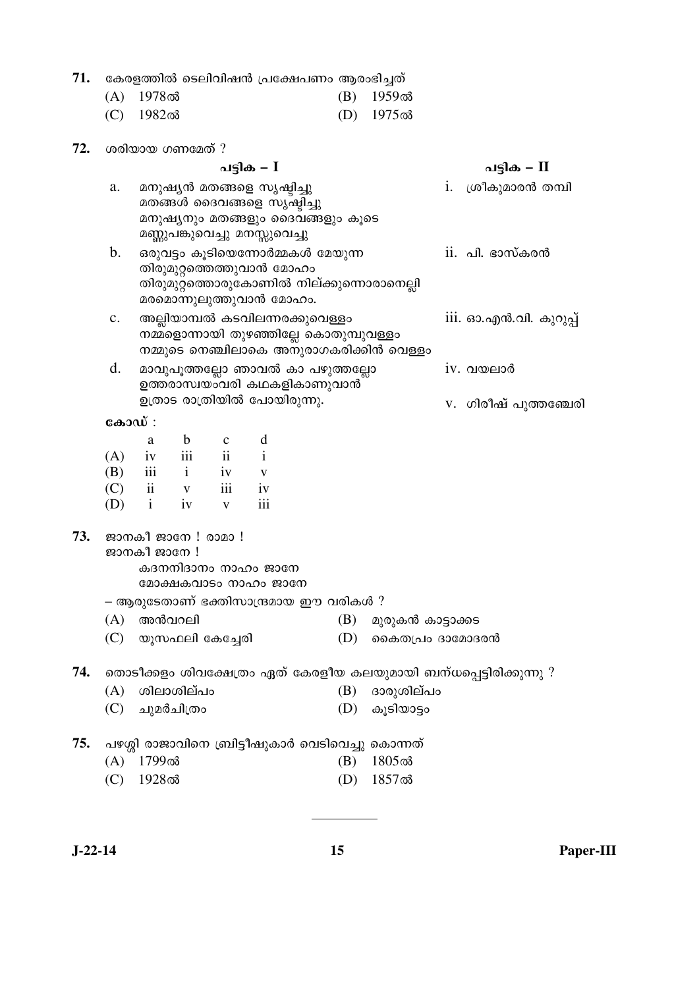|  | 71.   കേരളത്തിൽ ടെലിവിഷൻ പ്രക്ഷേപണം ആരംഭിച്ചത് |  |
|--|------------------------------------------------|--|
|  |                                                |  |

|  | $(A)$ 1978ൽ        | (B) 1959ൽ   |
|--|--------------------|-------------|
|  | $\sim$ 1000 $\sim$ | $\sqrt{10}$ |

(C) 1982ൽ (D) 1975ൽ

| 72. | ശരിയായ ഗണമേത് ? |                                                                                                                       |                                                                                                                                        |             |                                             |                                      |     |                                                  |  |                                                                    |
|-----|-----------------|-----------------------------------------------------------------------------------------------------------------------|----------------------------------------------------------------------------------------------------------------------------------------|-------------|---------------------------------------------|--------------------------------------|-----|--------------------------------------------------|--|--------------------------------------------------------------------|
|     |                 |                                                                                                                       |                                                                                                                                        |             |                                             | പട്ടിക – II                          |     |                                                  |  |                                                                    |
|     | a.              |                                                                                                                       | മനുഷ്യൻ മതങ്ങളെ സൃഷ്ടിച്ചു<br>മതങ്ങൾ ദൈവങ്ങളെ സൃഷ്ടിച്ചു<br>മനുഷ്യനും മതങ്ങളും ദൈവങ്ങളും കൂടെ<br>മണ്ണുപങ്കുവെച്ചു മനസ്സുവെച്ചു         |             |                                             | i. ശ്രീകുമാരൻ തമ്പി                  |     |                                                  |  |                                                                    |
|     | b.              |                                                                                                                       | ഒരുവട്ടം കൂടിയെന്നോർമ്മകൾ മേയുന്ന<br>തിരുമുറ്റത്തെത്തുവാൻ മോഹം<br>തിരുമുറ്റത്തൊരുകോണിൽ നില്ക്കുന്നൊരാനെല്ലി<br>മരമൊന്നുലുത്തുവാൻ മോഹം. |             |                                             | $\overline{\text{ii}}$ . പി. ഭാസ്കരൻ |     |                                                  |  |                                                                    |
|     | c.              | അല്ലിയാമ്പൽ കടവിലന്നരക്കുവെള്ളം<br>നമ്മളൊന്നായി തുഴഞ്ഞില്ലേ കൊതുമ്പുവള്ളം<br>നമ്മുടെ നെഞ്ചിലാകെ അനുരാഗകരിക്കിൻ വെള്ളം |                                                                                                                                        |             |                                             |                                      |     |                                                  |  | $\overline{111}$ . ഓ.എൻ.വി. കുറുപ്പ്                               |
|     | d.              | മാവുപൂത്തല്ലോ ഞാവൽ കാ പഴുത്തല്ലോ<br>ഉത്തരാസ്വയംവരി കഥകളികാണുവാൻ                                                       |                                                                                                                                        |             |                                             |                                      |     |                                                  |  | $iv.$ വയലാർ                                                        |
|     |                 |                                                                                                                       |                                                                                                                                        |             | ഉത്രാട രാത്രിയിൽ പോയിരുന്നു.                |                                      |     |                                                  |  | v. ഗിരീഷ് പുത്തഞ്ചേരി                                              |
|     | കോഡ് :          |                                                                                                                       |                                                                                                                                        |             |                                             |                                      |     |                                                  |  |                                                                    |
|     | (A)             | a                                                                                                                     | $\mathbf b$ c<br>iv iii ii                                                                                                             |             | d<br>$\mathbf{i}$                           |                                      |     |                                                  |  |                                                                    |
|     |                 |                                                                                                                       | $\overrightarrow{B}$ $\overrightarrow{iii}$ $\overrightarrow{i}$ $\overrightarrow{iv}$ $\overrightarrow{v}$                            |             |                                             |                                      |     |                                                  |  |                                                                    |
|     |                 |                                                                                                                       | $(C)$ ii v                                                                                                                             | iii iv      |                                             |                                      |     |                                                  |  |                                                                    |
|     |                 |                                                                                                                       | $(D)$ i iv                                                                                                                             | $\mathbf V$ | iii                                         |                                      |     |                                                  |  |                                                                    |
| 73. |                 | ജാനകീ ജാനേ !                                                                                                          | ജാനകീ ജാനേ ! രാമാ !                                                                                                                    |             | കദനനിദാനം നാഹം ജാനേ<br>മോക്ഷകവാടം നാഹം ജാനേ |                                      |     |                                                  |  |                                                                    |
|     |                 |                                                                                                                       |                                                                                                                                        |             | – ആരുടേതാണ് ഭക്തിസാന്ദ്രമായ ഈ വരികൾ ?       |                                      |     |                                                  |  |                                                                    |
|     |                 | $(A)$ അൻവറലി                                                                                                          |                                                                                                                                        |             |                                             |                                      | (B) | മുരുകൻ കാട്ടാക്കട                                |  |                                                                    |
|     | (C)             |                                                                                                                       | യൂസഫലി കേച്ചേരി                                                                                                                        |             |                                             |                                      | (D) | കൈതപ്രം ദാമോദരൻ                                  |  |                                                                    |
| 74. |                 |                                                                                                                       |                                                                                                                                        |             |                                             |                                      |     |                                                  |  | തൊടീക്കളം ശിവക്ഷേത്രം ഏത് കേരളീയ കലയുമായി ബന്ധപ്പെട്ടിരിക്കുന്നു ? |
|     | (A)             |                                                                                                                       | ശിലാശില്പം                                                                                                                             |             |                                             |                                      | (B) | ദാരുശില്പം                                       |  |                                                                    |
|     | (C)             |                                                                                                                       | ചുമർചിത്രം                                                                                                                             |             |                                             |                                      | (D) | കൂടിയാട്ടം                                       |  |                                                                    |
| 75. |                 |                                                                                                                       |                                                                                                                                        |             |                                             |                                      |     | പഴശ്ശി രാജാവിനെ ബ്രിട്ടീഷുകാർ വെടിവെച്ചു കൊന്നത് |  |                                                                    |
|     | (A)             | 1799ൽ                                                                                                                 |                                                                                                                                        |             |                                             |                                      | (B) | 1805ൽ                                            |  |                                                                    |
|     | (C)             | 1928ൽ                                                                                                                 |                                                                                                                                        |             |                                             |                                      | (D) | 1857ൽ                                            |  |                                                                    |

 $\overline{a}$ 

**J-22-14 15 Paper-III**